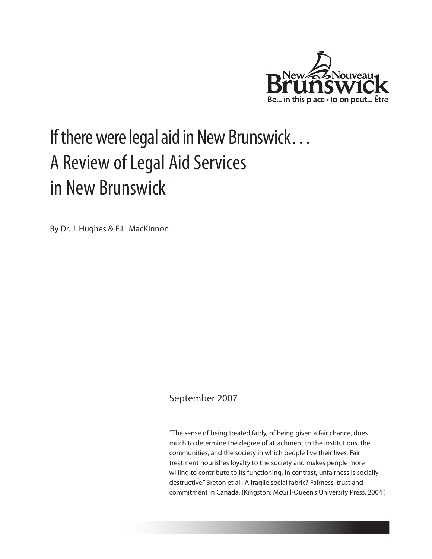

# If there were legal aid in New Brunswick… A Review of Legal Aid Services in New Brunswick

By Dr. J. Hughes & E.L. MacKinnon

### September 2007

"The sense of being treated fairly, of being given a fair chance, does much to determine the degree of attachment to the institutions, the communities, and the society in which people live their lives. Fair treatment nourishes loyalty to the society and makes people more willing to contribute to its functioning. In contrast, unfairness is socially destructive." Breton et al., A fragile social fabric? Fairness, trust and commitment in Canada. (Kingston: McGill-Queen's University Press, 2004 )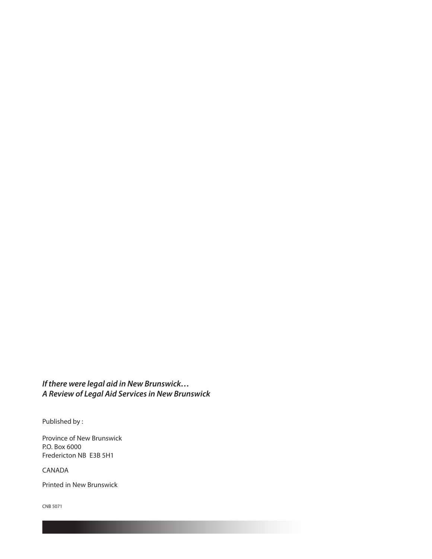*If there were legal aid in New Brunswick… A Review of Legal Aid Services in New Brunswick*

Published by :

Province of New Brunswick P.O. Box 6000 Fredericton NB E3B 5H1

CANADA

Printed in New Brunswick

CNB 5071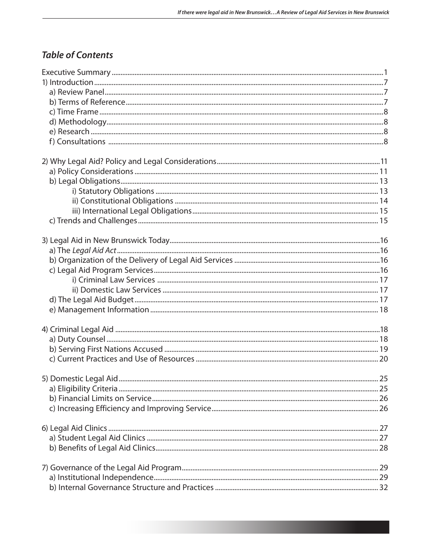### **Table of Contents**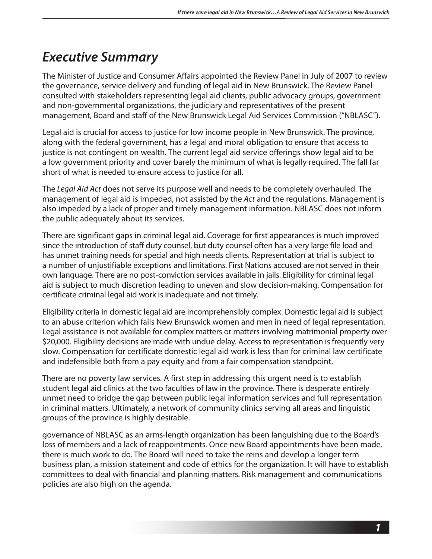## *Executive Summary*

The Minister of Justice and Consumer Affairs appointed the Review Panel in July of 2007 to review the governance, service delivery and funding of legal aid in New Brunswick. The Review Panel consulted with stakeholders representing legal aid clients, public advocacy groups, government and non-governmental organizations, the judiciary and representatives of the present management, Board and staff of the New Brunswick Legal Aid Services Commission ("NBLASC").

Legal aid is crucial for access to justice for low income people in New Brunswick. The province, along with the federal government, has a legal and moral obligation to ensure that access to justice is not contingent on wealth. The current legal aid service offerings show legal aid to be a low government priority and cover barely the minimum of what is legally required. The fall far short of what is needed to ensure access to justice for all.

The *Legal Aid Act* does not serve its purpose well and needs to be completely overhauled. The management of legal aid is impeded, not assisted by the *Act* and the regulations. Management is also impeded by a lack of proper and timely management information. NBLASC does not inform the public adequately about its services.

There are significant gaps in criminal legal aid. Coverage for first appearances is much improved since the introduction of staff duty counsel, but duty counsel often has a very large file load and has unmet training needs for special and high needs clients. Representation at trial is subject to a number of unjustifiable exceptions and limitations. First Nations accused are not served in their own language. There are no post-conviction services available in jails. Eligibility for criminal legal aid is subject to much discretion leading to uneven and slow decision-making. Compensation for certificate criminal legal aid work is inadequate and not timely.

Eligibility criteria in domestic legal aid are incomprehensibly complex. Domestic legal aid is subject to an abuse criterion which fails New Brunswick women and men in need of legal representation. Legal assistance is not available for complex matters or matters involving matrimonial property over \$20,000. Eligibility decisions are made with undue delay. Access to representation is frequently very slow. Compensation for certificate domestic legal aid work is less than for criminal law certificate and indefensible both from a pay equity and from a fair compensation standpoint.

There are no poverty law services. A first step in addressing this urgent need is to establish student legal aid clinics at the two faculties of law in the province. There is desperate entirely unmet need to bridge the gap between public legal information services and full representation in criminal matters. Ultimately, a network of community clinics serving all areas and linguistic groups of the province is highly desirable.

governance of NBLASC as an arms-length organization has been languishing due to the Board's loss of members and a lack of reappointments. Once new Board appointments have been made, there is much work to do. The Board will need to take the reins and develop a longer term business plan, a mission statement and code of ethics for the organization. It will have to establish committees to deal with financial and planning matters. Risk management and communications policies are also high on the agenda.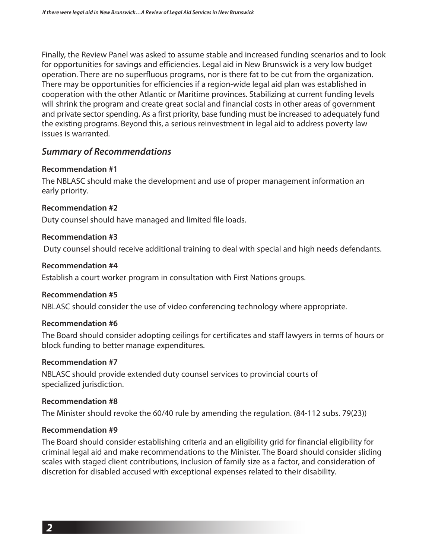Finally, the Review Panel was asked to assume stable and increased funding scenarios and to look for opportunities for savings and efficiencies. Legal aid in New Brunswick is a very low budget operation. There are no superfluous programs, nor is there fat to be cut from the organization. There may be opportunities for efficiencies if a region-wide legal aid plan was established in cooperation with the other Atlantic or Maritime provinces. Stabilizing at current funding levels will shrink the program and create great social and financial costs in other areas of government and private sector spending. As a first priority, base funding must be increased to adequately fund the existing programs. Beyond this, a serious reinvestment in legal aid to address poverty law issues is warranted.

### *Summary of Recommendations*

#### **Recommendation #1**

The NBLASC should make the development and use of proper management information an early priority.

#### **Recommendation #2**

Duty counsel should have managed and limited file loads.

#### **Recommendation #3**

Duty counsel should receive additional training to deal with special and high needs defendants.

#### **Recommendation #4**

Establish a court worker program in consultation with First Nations groups.

#### **Recommendation #5**

NBLASC should consider the use of video conferencing technology where appropriate.

#### **Recommendation #6**

The Board should consider adopting ceilings for certificates and staff lawyers in terms of hours or block funding to better manage expenditures.

#### **Recommendation #7**

NBLASC should provide extended duty counsel services to provincial courts of specialized jurisdiction.

#### **Recommendation #8**

The Minister should revoke the 60/40 rule by amending the regulation. (84-112 subs. 79(23))

#### **Recommendation #9**

The Board should consider establishing criteria and an eligibility grid for financial eligibility for criminal legal aid and make recommendations to the Minister. The Board should consider sliding scales with staged client contributions, inclusion of family size as a factor, and consideration of discretion for disabled accused with exceptional expenses related to their disability.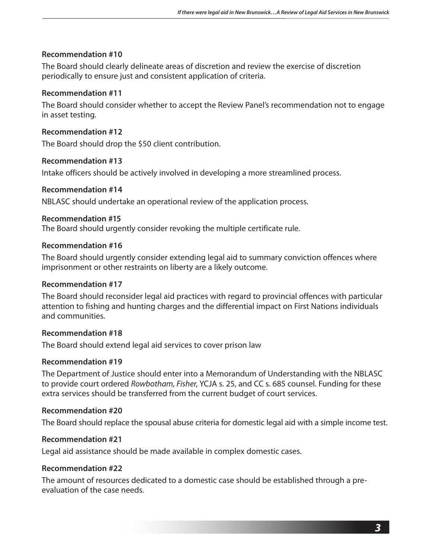The Board should clearly delineate areas of discretion and review the exercise of discretion periodically to ensure just and consistent application of criteria.

#### **Recommendation #11**

The Board should consider whether to accept the Review Panel's recommendation not to engage in asset testing.

**Recommendation #12** The Board should drop the \$50 client contribution.

#### **Recommendation #13**

Intake officers should be actively involved in developing a more streamlined process.

#### **Recommendation #14**

NBLASC should undertake an operational review of the application process.

#### **Recommendation #15**

The Board should urgently consider revoking the multiple certificate rule.

#### **Recommendation #16**

The Board should urgently consider extending legal aid to summary conviction offences where imprisonment or other restraints on liberty are a likely outcome.

#### **Recommendation #17**

The Board should reconsider legal aid practices with regard to provincial offences with particular attention to fishing and hunting charges and the differential impact on First Nations individuals and communities.

#### **Recommendation #18**

The Board should extend legal aid services to cover prison law

#### **Recommendation #19**

The Department of Justice should enter into a Memorandum of Understanding with the NBLASC to provide court ordered *Rowbotham, Fisher,* YCJA s. 25, and CC s. 685 counsel. Funding for these extra services should be transferred from the current budget of court services.

#### **Recommendation #20**

The Board should replace the spousal abuse criteria for domestic legal aid with a simple income test.

#### **Recommendation #21**

Legal aid assistance should be made available in complex domestic cases.

#### **Recommendation #22**

The amount of resources dedicated to a domestic case should be established through a preevaluation of the case needs.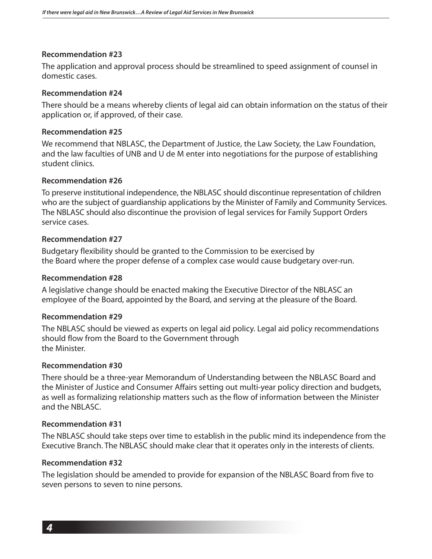The application and approval process should be streamlined to speed assignment of counsel in domestic cases.

#### **Recommendation #24**

There should be a means whereby clients of legal aid can obtain information on the status of their application or, if approved, of their case.

#### **Recommendation #25**

We recommend that NBLASC, the Department of Justice, the Law Society, the Law Foundation, and the law faculties of UNB and U de M enter into negotiations for the purpose of establishing student clinics.

#### **Recommendation #26**

To preserve institutional independence, the NBLASC should discontinue representation of children who are the subject of guardianship applications by the Minister of Family and Community Services. The NBLASC should also discontinue the provision of legal services for Family Support Orders service cases.

#### **Recommendation #27**

Budgetary flexibility should be granted to the Commission to be exercised by the Board where the proper defense of a complex case would cause budgetary over-run.

#### **Recommendation #28**

A legislative change should be enacted making the Executive Director of the NBLASC an employee of the Board, appointed by the Board, and serving at the pleasure of the Board.

#### **Recommendation #29**

The NBLASC should be viewed as experts on legal aid policy. Legal aid policy recommendations should flow from the Board to the Government through the Minister.

#### **Recommendation #30**

There should be a three-year Memorandum of Understanding between the NBLASC Board and the Minister of Justice and Consumer Affairs setting out multi-year policy direction and budgets, as well as formalizing relationship matters such as the flow of information between the Minister and the NBLASC.

#### **Recommendation #31**

The NBLASC should take steps over time to establish in the public mind its independence from the Executive Branch. The NBLASC should make clear that it operates only in the interests of clients.

#### **Recommendation #32**

The legislation should be amended to provide for expansion of the NBLASC Board from five to seven persons to seven to nine persons.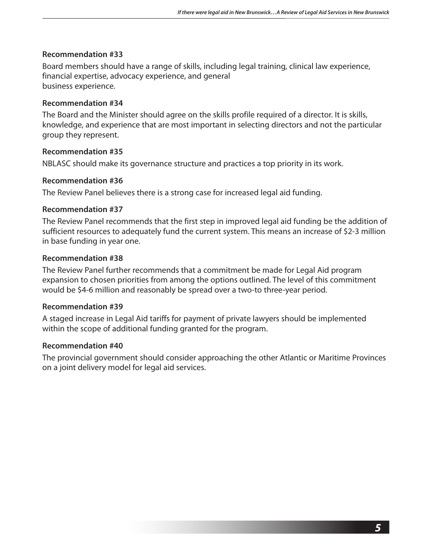Board members should have a range of skills, including legal training, clinical law experience, financial expertise, advocacy experience, and general business experience.

#### **Recommendation #34**

The Board and the Minister should agree on the skills profile required of a director. It is skills, knowledge, and experience that are most important in selecting directors and not the particular group they represent.

#### **Recommendation #35**

NBLASC should make its governance structure and practices a top priority in its work.

#### **Recommendation #36**

The Review Panel believes there is a strong case for increased legal aid funding.

#### **Recommendation #37**

The Review Panel recommends that the first step in improved legal aid funding be the addition of sufficient resources to adequately fund the current system. This means an increase of \$2-3 million in base funding in year one.

#### **Recommendation #38**

The Review Panel further recommends that a commitment be made for Legal Aid program expansion to chosen priorities from among the options outlined. The level of this commitment would be \$4-6 million and reasonably be spread over a two-to three-year period.

#### **Recommendation #39**

A staged increase in Legal Aid tariffs for payment of private lawyers should be implemented within the scope of additional funding granted for the program.

#### **Recommendation #40**

The provincial government should consider approaching the other Atlantic or Maritime Provinces on a joint delivery model for legal aid services.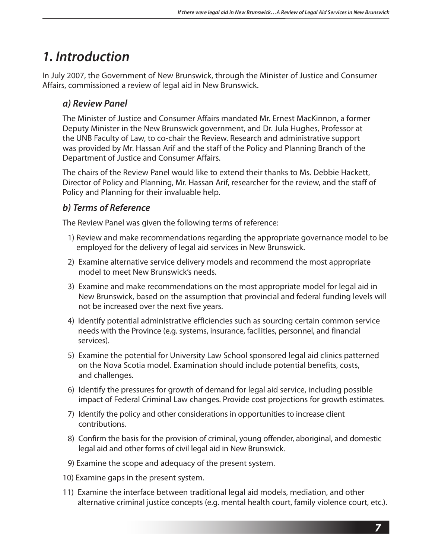## *1. Introduction*

In July 2007, the Government of New Brunswick, through the Minister of Justice and Consumer Affairs, commissioned a review of legal aid in New Brunswick.

### *a) Review Panel*

The Minister of Justice and Consumer Affairs mandated Mr. Ernest MacKinnon, a former Deputy Minister in the New Brunswick government, and Dr. Jula Hughes, Professor at the UNB Faculty of Law, to co-chair the Review. Research and administrative support was provided by Mr. Hassan Arif and the staff of the Policy and Planning Branch of the Department of Justice and Consumer Affairs.

The chairs of the Review Panel would like to extend their thanks to Ms. Debbie Hackett, Director of Policy and Planning, Mr. Hassan Arif, researcher for the review, and the staff of Policy and Planning for their invaluable help.

### *b) Terms of Reference*

The Review Panel was given the following terms of reference:

- 1) Review and make recommendations regarding the appropriate governance model to be employed for the delivery of legal aid services in New Brunswick.
- 2) Examine alternative service delivery models and recommend the most appropriate model to meet New Brunswick's needs.
- 3) Examine and make recommendations on the most appropriate model for legal aid in New Brunswick, based on the assumption that provincial and federal funding levels will not be increased over the next five years.
- 4) Identify potential administrative efficiencies such as sourcing certain common service needs with the Province (e.g. systems, insurance, facilities, personnel, and financial services).
- 5) Examine the potential for University Law School sponsored legal aid clinics patterned on the Nova Scotia model. Examination should include potential benefits, costs, and challenges.
- 6) Identify the pressures for growth of demand for legal aid service, including possible impact of Federal Criminal Law changes. Provide cost projections for growth estimates.
- 7) Identify the policy and other considerations in opportunities to increase client contributions.
- 8) Confirm the basis for the provision of criminal, young offender, aboriginal, and domestic legal aid and other forms of civil legal aid in New Brunswick.
- 9) Examine the scope and adequacy of the present system.
- 10) Examine gaps in the present system.
- 11) Examine the interface between traditional legal aid models, mediation, and other alternative criminal justice concepts (e.g. mental health court, family violence court, etc.).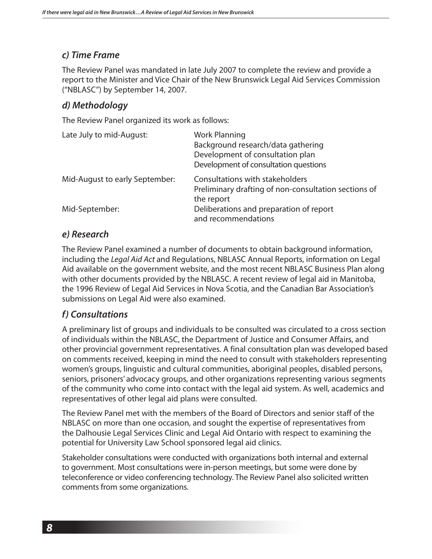### *c) Time Frame*

The Review Panel was mandated in late July 2007 to complete the review and provide a report to the Minister and Vice Chair of the New Brunswick Legal Aid Services Commission ("NBLASC") by September 14, 2007.

### *d) Methodology*

The Review Panel organized its work as follows:

| Late July to mid-August:       | <b>Work Planning</b><br>Background research/data gathering<br>Development of consultation plan<br>Development of consultation questions |
|--------------------------------|-----------------------------------------------------------------------------------------------------------------------------------------|
| Mid-August to early September: | Consultations with stakeholders<br>Preliminary drafting of non-consultation sections of<br>the report                                   |
| Mid-September:                 | Deliberations and preparation of report<br>and recommendations                                                                          |

### *e) Research*

The Review Panel examined a number of documents to obtain background information, including the *Legal Aid Act* and Regulations, NBLASC Annual Reports, information on Legal Aid available on the government website, and the most recent NBLASC Business Plan along with other documents provided by the NBLASC. A recent review of legal aid in Manitoba, the 1996 Review of Legal Aid Services in Nova Scotia, and the Canadian Bar Association's submissions on Legal Aid were also examined.

### *f) Consultations*

A preliminary list of groups and individuals to be consulted was circulated to a cross section of individuals within the NBLASC, the Department of Justice and Consumer Affairs, and other provincial government representatives. A final consultation plan was developed based on comments received, keeping in mind the need to consult with stakeholders representing women's groups, linguistic and cultural communities, aboriginal peoples, disabled persons, seniors, prisoners' advocacy groups, and other organizations representing various segments of the community who come into contact with the legal aid system. As well, academics and representatives of other legal aid plans were consulted.

The Review Panel met with the members of the Board of Directors and senior staff of the NBLASC on more than one occasion, and sought the expertise of representatives from the Dalhousie Legal Services Clinic and Legal Aid Ontario with respect to examining the potential for University Law School sponsored legal aid clinics.

Stakeholder consultations were conducted with organizations both internal and external to government. Most consultations were in-person meetings, but some were done by teleconference or video conferencing technology. The Review Panel also solicited written comments from some organizations.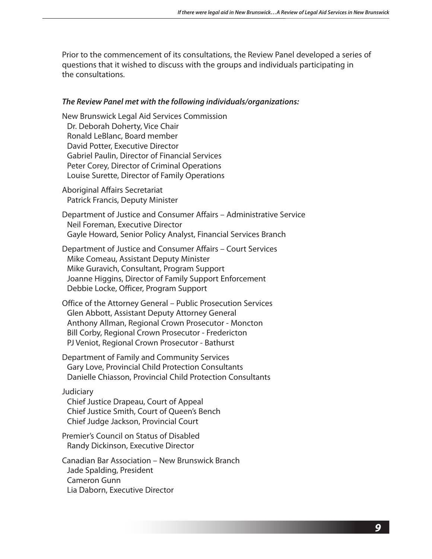Prior to the commencement of its consultations, the Review Panel developed a series of questions that it wished to discuss with the groups and individuals participating in the consultations.

#### *The Review Panel met with the following individuals/organizations:*

New Brunswick Legal Aid Services Commission Dr. Deborah Doherty, Vice Chair Ronald LeBlanc, Board member David Potter, Executive Director Gabriel Paulin, Director of Financial Services Peter Corey, Director of Criminal Operations Louise Surette, Director of Family Operations

Aboriginal Affairs Secretariat Patrick Francis, Deputy Minister

Department of Justice and Consumer Affairs – Administrative Service Neil Foreman, Executive Director Gayle Howard, Senior Policy Analyst, Financial Services Branch

Department of Justice and Consumer Affairs – Court Services Mike Comeau, Assistant Deputy Minister Mike Guravich, Consultant, Program Support Joanne Higgins, Director of Family Support Enforcement Debbie Locke, Officer, Program Support

Office of the Attorney General – Public Prosecution Services Glen Abbott, Assistant Deputy Attorney General Anthony Allman, Regional Crown Prosecutor - Moncton Bill Corby, Regional Crown Prosecutor - Fredericton PJ Veniot, Regional Crown Prosecutor - Bathurst

Department of Family and Community Services Gary Love, Provincial Child Protection Consultants Danielle Chiasson, Provincial Child Protection Consultants

#### Judiciary

Chief Justice Drapeau, Court of Appeal Chief Justice Smith, Court of Queen's Bench Chief Judge Jackson, Provincial Court

Premier's Council on Status of Disabled Randy Dickinson, Executive Director

Canadian Bar Association – New Brunswick Branch Jade Spalding, President Cameron Gunn Lia Daborn, Executive Director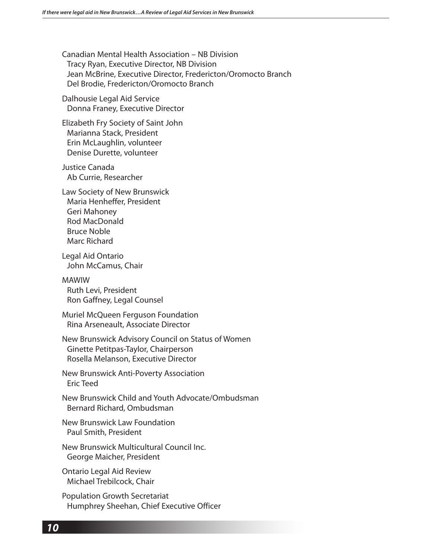Canadian Mental Health Association – NB Division Tracy Ryan, Executive Director, NB Division Jean McBrine, Executive Director, Fredericton/Oromocto Branch Del Brodie, Fredericton/Oromocto Branch

Dalhousie Legal Aid Service Donna Franey, Executive Director

Elizabeth Fry Society of Saint John Marianna Stack, President Erin McLaughlin, volunteer Denise Durette, volunteer

Justice Canada Ab Currie, Researcher

Law Society of New Brunswick Maria Henheffer, President Geri Mahoney Rod MacDonald Bruce Noble Marc Richard

Legal Aid Ontario John McCamus, Chair

MAWIW Ruth Levi, President Ron Gaffney, Legal Counsel

Muriel McQueen Ferguson Foundation Rina Arseneault, Associate Director

New Brunswick Advisory Council on Status of Women Ginette Petitpas-Taylor, Chairperson Rosella Melanson, Executive Director

New Brunswick Anti-Poverty Association Eric Teed

New Brunswick Child and Youth Advocate/Ombudsman Bernard Richard, Ombudsman

New Brunswick Law Foundation Paul Smith, President

New Brunswick Multicultural Council Inc. George Maicher, President

Ontario Legal Aid Review Michael Trebilcock, Chair

Population Growth Secretariat Humphrey Sheehan, Chief Executive Officer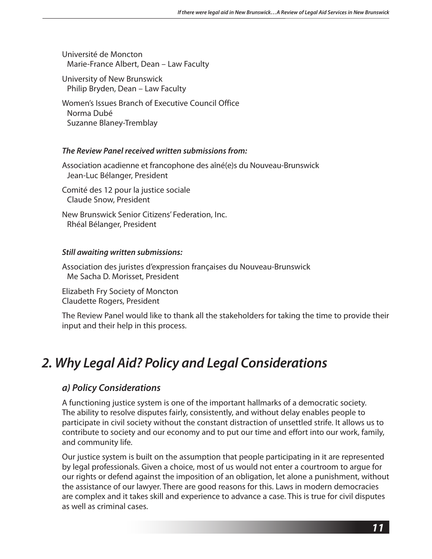Université de Moncton Marie-France Albert, Dean – Law Faculty

University of New Brunswick Philip Bryden, Dean – Law Faculty

Women's Issues Branch of Executive Council Office Norma Dubé Suzanne Blaney-Tremblay

#### *The Review Panel received written submissions from:*

Association acadienne et francophone des aîné(e)s du Nouveau-Brunswick Jean-Luc Bélanger, President

Comité des 12 pour la justice sociale Claude Snow, President

New Brunswick Senior Citizens' Federation, Inc. Rhéal Bélanger, President

#### *Still awaiting written submissions:*

Association des juristes d'expression françaises du Nouveau-Brunswick Me Sacha D. Morisset, President

Elizabeth Fry Society of Moncton Claudette Rogers, President

The Review Panel would like to thank all the stakeholders for taking the time to provide their input and their help in this process.

## *2. Why Legal Aid? Policy and Legal Considerations*

### *a) Policy Considerations*

A functioning justice system is one of the important hallmarks of a democratic society. The ability to resolve disputes fairly, consistently, and without delay enables people to participate in civil society without the constant distraction of unsettled strife. It allows us to contribute to society and our economy and to put our time and effort into our work, family, and community life.

Our justice system is built on the assumption that people participating in it are represented by legal professionals. Given a choice, most of us would not enter a courtroom to argue for our rights or defend against the imposition of an obligation, let alone a punishment, without the assistance of our lawyer. There are good reasons for this. Laws in modern democracies are complex and it takes skill and experience to advance a case. This is true for civil disputes as well as criminal cases.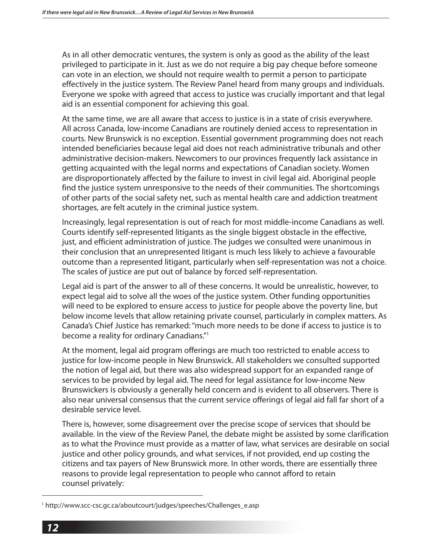As in all other democratic ventures, the system is only as good as the ability of the least privileged to participate in it. Just as we do not require a big pay cheque before someone can vote in an election, we should not require wealth to permit a person to participate effectively in the justice system. The Review Panel heard from many groups and individuals. Everyone we spoke with agreed that access to justice was crucially important and that legal aid is an essential component for achieving this goal.

At the same time, we are all aware that access to justice is in a state of crisis everywhere. All across Canada, low-income Canadians are routinely denied access to representation in courts. New Brunswick is no exception. Essential government programming does not reach intended beneficiaries because legal aid does not reach administrative tribunals and other administrative decision-makers. Newcomers to our provinces frequently lack assistance in getting acquainted with the legal norms and expectations of Canadian society. Women are disproportionately affected by the failure to invest in civil legal aid. Aboriginal people find the justice system unresponsive to the needs of their communities. The shortcomings of other parts of the social safety net, such as mental health care and addiction treatment shortages, are felt acutely in the criminal justice system.

Increasingly, legal representation is out of reach for most middle-income Canadians as well. Courts identify self-represented litigants as the single biggest obstacle in the effective, just, and efficient administration of justice. The judges we consulted were unanimous in their conclusion that an unrepresented litigant is much less likely to achieve a favourable outcome than a represented litigant, particularly when self-representation was not a choice. The scales of justice are put out of balance by forced self-representation.

Legal aid is part of the answer to all of these concerns. It would be unrealistic, however, to expect legal aid to solve all the woes of the justice system. Other funding opportunities will need to be explored to ensure access to justice for people above the poverty line, but below income levels that allow retaining private counsel, particularly in complex matters. As Canada's Chief Justice has remarked: "much more needs to be done if access to justice is to become a reality for ordinary Canadians."1

At the moment, legal aid program offerings are much too restricted to enable access to justice for low-income people in New Brunswick. All stakeholders we consulted supported the notion of legal aid, but there was also widespread support for an expanded range of services to be provided by legal aid. The need for legal assistance for low-income New Brunswickers is obviously a generally held concern and is evident to all observers. There is also near universal consensus that the current service offerings of legal aid fall far short of a desirable service level.

There is, however, some disagreement over the precise scope of services that should be available. In the view of the Review Panel, the debate might be assisted by some clarification as to what the Province must provide as a matter of law, what services are desirable on social justice and other policy grounds, and what services, if not provided, end up costing the citizens and tax payers of New Brunswick more. In other words, there are essentially three reasons to provide legal representation to people who cannot afford to retain counsel privately:

<sup>&</sup>lt;sup>1</sup> http://www.scc-csc.gc.ca/aboutcourt/judges/speeches/Challenges\_e.asp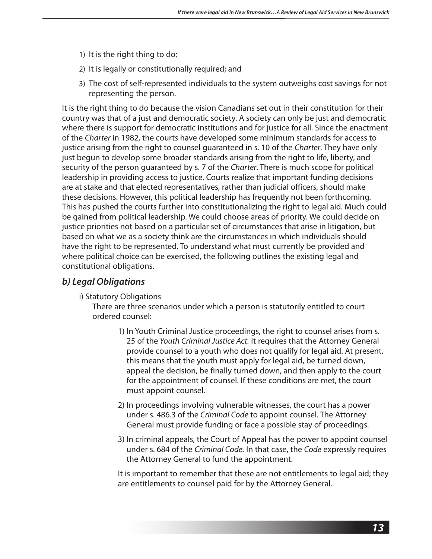- 1) It is the right thing to do;
- 2) It is legally or constitutionally required; and
- 3) The cost of self-represented individuals to the system outweighs cost savings for not representing the person.

It is the right thing to do because the vision Canadians set out in their constitution for their country was that of a just and democratic society. A society can only be just and democratic where there is support for democratic institutions and for justice for all. Since the enactment of the *Charter* in 1982, the courts have developed some minimum standards for access to justice arising from the right to counsel guaranteed in s. 10 of the *Charter*. They have only just begun to develop some broader standards arising from the right to life, liberty, and security of the person guaranteed by s. 7 of the *Charter*. There is much scope for political leadership in providing access to justice. Courts realize that important funding decisions are at stake and that elected representatives, rather than judicial officers, should make these decisions. However, this political leadership has frequently not been forthcoming. This has pushed the courts further into constitutionalizing the right to legal aid. Much could be gained from political leadership. We could choose areas of priority. We could decide on justice priorities not based on a particular set of circumstances that arise in litigation, but based on what we as a society think are the circumstances in which individuals should have the right to be represented. To understand what must currently be provided and where political choice can be exercised, the following outlines the existing legal and constitutional obligations.

### *b) Legal Obligations*

#### i) Statutory Obligations

There are three scenarios under which a person is statutorily entitled to court ordered counsel:

- 1) In Youth Criminal Justice proceedings, the right to counsel arises from s. 25 of the *Youth Criminal Justice Act.* It requires that the Attorney General provide counsel to a youth who does not qualify for legal aid. At present, this means that the youth must apply for legal aid, be turned down, appeal the decision, be finally turned down, and then apply to the court for the appointment of counsel. If these conditions are met, the court must appoint counsel.
- 2) In proceedings involving vulnerable witnesses, the court has a power under s. 486.3 of the *Criminal Code* to appoint counsel. The Attorney General must provide funding or face a possible stay of proceedings.
- 3) In criminal appeals, the Court of Appeal has the power to appoint counsel under s. 684 of the *Criminal Code.* In that case, the *Code* expressly requires the Attorney General to fund the appointment.

 It is important to remember that these are not entitlements to legal aid; they are entitlements to counsel paid for by the Attorney General.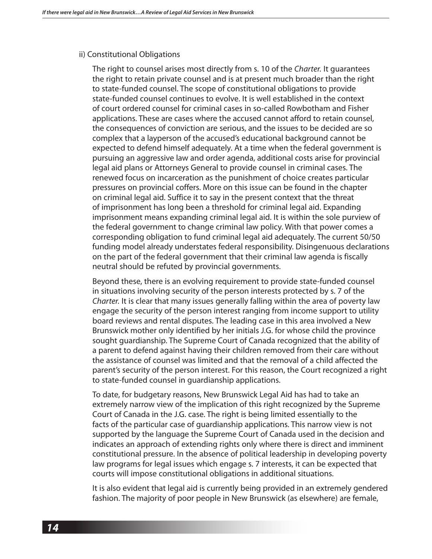#### **ii) Constitutional Obligations**

 The right to counsel arises most directly from s. 10 of the *Charter.* It guarantees the right to retain private counsel and is at present much broader than the right to state-funded counsel. The scope of constitutional obligations to provide state-funded counsel continues to evolve. It is well established in the context of court ordered counsel for criminal cases in so-called Rowbotham and Fisher applications. These are cases where the accused cannot afford to retain counsel, the consequences of conviction are serious, and the issues to be decided are so complex that a layperson of the accused's educational background cannot be expected to defend himself adequately. At a time when the federal government is pursuing an aggressive law and order agenda, additional costs arise for provincial legal aid plans or Attorneys General to provide counsel in criminal cases. The renewed focus on incarceration as the punishment of choice creates particular pressures on provincial coffers. More on this issue can be found in the chapter on criminal legal aid. Suffice it to say in the present context that the threat of imprisonment has long been a threshold for criminal legal aid. Expanding imprisonment means expanding criminal legal aid. It is within the sole purview of the federal government to change criminal law policy. With that power comes a corresponding obligation to fund criminal legal aid adequately. The current 50/50 funding model already understates federal responsibility. Disingenuous declarations on the part of the federal government that their criminal law agenda is fiscally neutral should be refuted by provincial governments.

 Beyond these, there is an evolving requirement to provide state-funded counsel in situations involving security of the person interests protected by s. 7 of the *Charter.* It is clear that many issues generally falling within the area of poverty law engage the security of the person interest ranging from income support to utility board reviews and rental disputes. The leading case in this area involved a New Brunswick mother only identified by her initials J.G. for whose child the province sought guardianship. The Supreme Court of Canada recognized that the ability of a parent to defend against having their children removed from their care without the assistance of counsel was limited and that the removal of a child affected the parent's security of the person interest. For this reason, the Court recognized a right to state-funded counsel in guardianship applications.

 To date, for budgetary reasons, New Brunswick Legal Aid has had to take an extremely narrow view of the implication of this right recognized by the Supreme Court of Canada in the J.G. case. The right is being limited essentially to the facts of the particular case of guardianship applications. This narrow view is not supported by the language the Supreme Court of Canada used in the decision and indicates an approach of extending rights only where there is direct and imminent constitutional pressure. In the absence of political leadership in developing poverty law programs for legal issues which engage s. 7 interests, it can be expected that courts will impose constitutional obligations in additional situations.

 It is also evident that legal aid is currently being provided in an extremely gendered fashion. The majority of poor people in New Brunswick (as elsewhere) are female,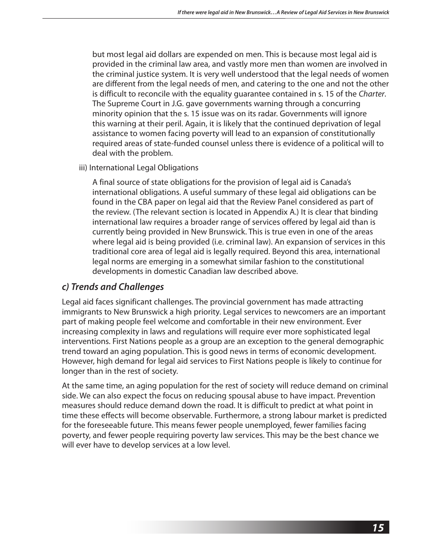but most legal aid dollars are expended on men. This is because most legal aid is provided in the criminal law area, and vastly more men than women are involved in the criminal justice system. It is very well understood that the legal needs of women are different from the legal needs of men, and catering to the one and not the other is difficult to reconcile with the equality guarantee contained in s. 15 of the *Charter*. The Supreme Court in J.G. gave governments warning through a concurring minority opinion that the s. 15 issue was on its radar. Governments will ignore this warning at their peril. Again, it is likely that the continued deprivation of legal assistance to women facing poverty will lead to an expansion of constitutionally required areas of state-funded counsel unless there is evidence of a political will to deal with the problem.

iii) International Legal Obligations

 A final source of state obligations for the provision of legal aid is Canada's international obligations. A useful summary of these legal aid obligations can be found in the CBA paper on legal aid that the Review Panel considered as part of the review. (The relevant section is located in Appendix A.) It is clear that binding international law requires a broader range of services offered by legal aid than is currently being provided in New Brunswick. This is true even in one of the areas where legal aid is being provided (i.e. criminal law). An expansion of services in this traditional core area of legal aid is legally required. Beyond this area, international legal norms are emerging in a somewhat similar fashion to the constitutional developments in domestic Canadian law described above.

#### *c) Trends and Challenges*

Legal aid faces significant challenges. The provincial government has made attracting immigrants to New Brunswick a high priority. Legal services to newcomers are an important part of making people feel welcome and comfortable in their new environment. Ever increasing complexity in laws and regulations will require ever more sophisticated legal interventions. First Nations people as a group are an exception to the general demographic trend toward an aging population. This is good news in terms of economic development. However, high demand for legal aid services to First Nations people is likely to continue for longer than in the rest of society.

At the same time, an aging population for the rest of society will reduce demand on criminal side. We can also expect the focus on reducing spousal abuse to have impact. Prevention measures should reduce demand down the road. It is difficult to predict at what point in time these effects will become observable. Furthermore, a strong labour market is predicted for the foreseeable future. This means fewer people unemployed, fewer families facing poverty, and fewer people requiring poverty law services. This may be the best chance we will ever have to develop services at a low level.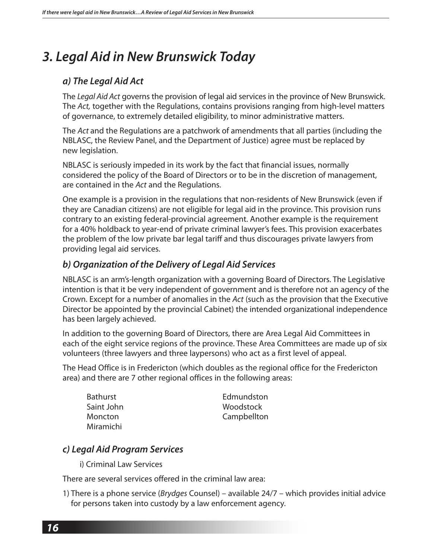## *3. Legal Aid in New Brunswick Today*

### *a) The Legal Aid Act*

The *Legal Aid Act* governs the provision of legal aid services in the province of New Brunswick. The *Act,* together with the Regulations, contains provisions ranging from high-level matters of governance, to extremely detailed eligibility, to minor administrative matters.

The *Act* and the Regulations are a patchwork of amendments that all parties (including the NBLASC, the Review Panel, and the Department of Justice) agree must be replaced by new legislation.

NBLASC is seriously impeded in its work by the fact that financial issues, normally considered the policy of the Board of Directors or to be in the discretion of management, are contained in the *Act* and the Regulations.

One example is a provision in the regulations that non-residents of New Brunswick (even if they are Canadian citizens) are not eligible for legal aid in the province. This provision runs contrary to an existing federal-provincial agreement. Another example is the requirement for a 40% holdback to year-end of private criminal lawyer's fees. This provision exacerbates the problem of the low private bar legal tariff and thus discourages private lawyers from providing legal aid services.

### *b) Organization of the Delivery of Legal Aid Services*

NBLASC is an arm's-length organization with a governing Board of Directors. The Legislative intention is that it be very independent of government and is therefore not an agency of the Crown. Except for a number of anomalies in the *Act* (such as the provision that the Executive Director be appointed by the provincial Cabinet) the intended organizational independence has been largely achieved.

In addition to the governing Board of Directors, there are Area Legal Aid Committees in each of the eight service regions of the province. These Area Committees are made up of six volunteers (three lawyers and three laypersons) who act as a first level of appeal.

The Head Office is in Fredericton (which doubles as the regional office for the Fredericton area) and there are 7 other regional offices in the following areas:

| <b>Bathurst</b> | Edmundston  |
|-----------------|-------------|
| Saint John      | Woodstock   |
| <b>Moncton</b>  | Campbellton |
| Miramichi       |             |

### *c) Legal Aid Program Services*

i) Criminal Law Services

There are several services offered in the criminal law area:

1) There is a phone service (*Brydges* Counsel) – available 24/7 – which provides initial advice for persons taken into custody by a law enforcement agency.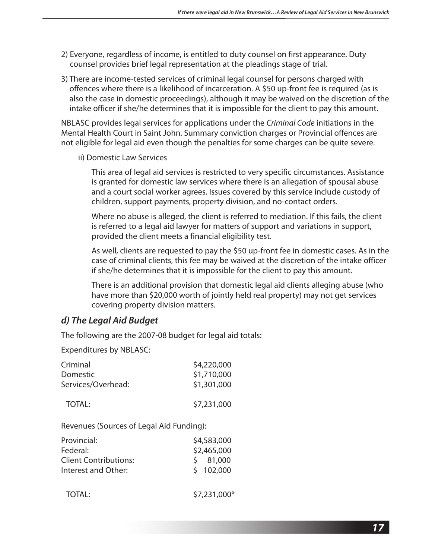- 2) Everyone, regardless of income, is entitled to duty counsel on first appearance. Duty counsel provides brief legal representation at the pleadings stage of trial.
- 3) There are income-tested services of criminal legal counsel for persons charged with offences where there is a likelihood of incarceration. A \$50 up-front fee is required (as is also the case in domestic proceedings), although it may be waived on the discretion of the intake officer if she/he determines that it is impossible for the client to pay this amount.

NBLASC provides legal services for applications under the *Criminal Code* initiations in the Mental Health Court in Saint John. Summary conviction charges or Provincial offences are not eligible for legal aid even though the penalties for some charges can be quite severe.

ii) Domestic Law Services

 This area of legal aid services is restricted to very specific circumstances. Assistance is granted for domestic law services where there is an allegation of spousal abuse and a court social worker agrees. Issues covered by this service include custody of children, support payments, property division, and no-contact orders.

 Where no abuse is alleged, the client is referred to mediation. If this fails, the client is referred to a legal aid lawyer for matters of support and variations in support, provided the client meets a financial eligibility test.

 As well, clients are requested to pay the \$50 up-front fee in domestic cases. As in the case of criminal clients, this fee may be waived at the discretion of the intake officer if she/he determines that it is impossible for the client to pay this amount.

 There is an additional provision that domestic legal aid clients alleging abuse (who have more than \$20,000 worth of jointly held real property) may not get services covering property division matters.

### *d) The Legal Aid Budget*

The following are the 2007-08 budget for legal aid totals:

Expenditures by NBLASC:

| Criminal<br>Domestic<br>Services/Overhead:              | \$4,220,000<br>\$1,710,000<br>\$1,301,000 |
|---------------------------------------------------------|-------------------------------------------|
| <b>TOTAL:</b>                                           | \$7,231,000                               |
| Revenues (Sources of Legal Aid Funding):                |                                           |
| Provincial:<br>Federal:<br><b>Client Contributions:</b> | \$4,583,000<br>\$2,465,000<br>81,000<br>S |

| <b>TOTAL:</b> | $$7,231,000*$ |
|---------------|---------------|
|---------------|---------------|

Interest and Other:  $\frac{1}{2}$  102,000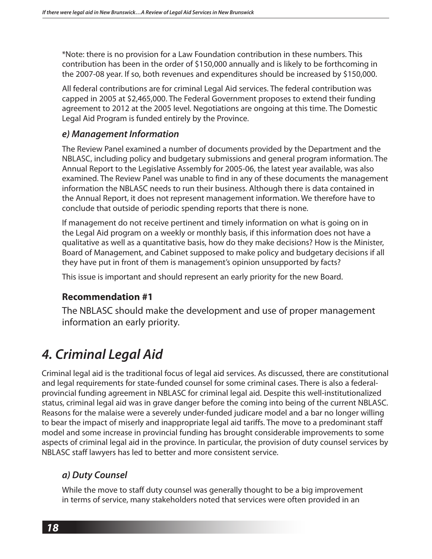\*Note: there is no provision for a Law Foundation contribution in these numbers. This contribution has been in the order of \$150,000 annually and is likely to be forthcoming in the 2007-08 year. If so, both revenues and expenditures should be increased by \$150,000.

All federal contributions are for criminal Legal Aid services. The federal contribution was capped in 2005 at \$2,465,000. The Federal Government proposes to extend their funding agreement to 2012 at the 2005 level. Negotiations are ongoing at this time. The Domestic Legal Aid Program is funded entirely by the Province.

#### *e) Management Information*

The Review Panel examined a number of documents provided by the Department and the NBLASC, including policy and budgetary submissions and general program information. The Annual Report to the Legislative Assembly for 2005-06, the latest year available, was also examined. The Review Panel was unable to find in any of these documents the management information the NBLASC needs to run their business. Although there is data contained in the Annual Report, it does not represent management information. We therefore have to conclude that outside of periodic spending reports that there is none.

If management do not receive pertinent and timely information on what is going on in the Legal Aid program on a weekly or monthly basis, if this information does not have a qualitative as well as a quantitative basis, how do they make decisions? How is the Minister, Board of Management, and Cabinet supposed to make policy and budgetary decisions if all they have put in front of them is management's opinion unsupported by facts?

This issue is important and should represent an early priority for the new Board.

### **Recommendation #1**

The NBLASC should make the development and use of proper management information an early priority.

## *4. Criminal Legal Aid*

Criminal legal aid is the traditional focus of legal aid services. As discussed, there are constitutional and legal requirements for state-funded counsel for some criminal cases. There is also a federalprovincial funding agreement in NBLASC for criminal legal aid. Despite this well-institutionalized status, criminal legal aid was in grave danger before the coming into being of the current NBLASC. Reasons for the malaise were a severely under-funded judicare model and a bar no longer willing to bear the impact of miserly and inappropriate legal aid tariffs. The move to a predominant staff model and some increase in provincial funding has brought considerable improvements to some aspects of criminal legal aid in the province. In particular, the provision of duty counsel services by NBLASC staff lawyers has led to better and more consistent service.

### *a) Duty Counsel*

While the move to staff duty counsel was generally thought to be a big improvement in terms of service, many stakeholders noted that services were often provided in an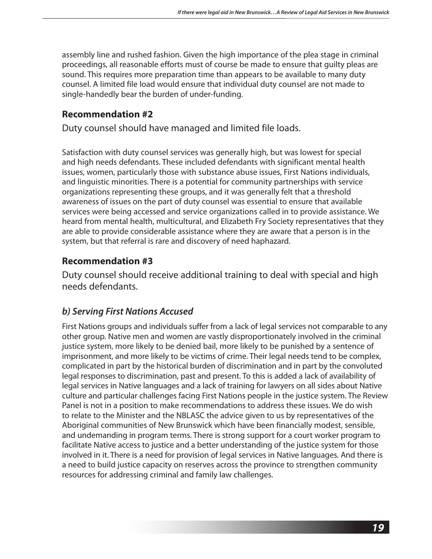assembly line and rushed fashion. Given the high importance of the plea stage in criminal proceedings, all reasonable efforts must of course be made to ensure that guilty pleas are sound. This requires more preparation time than appears to be available to many duty counsel. A limited file load would ensure that individual duty counsel are not made to single-handedly bear the burden of under-funding.

### **Recommendation #2**

Duty counsel should have managed and limited file loads.

Satisfaction with duty counsel services was generally high, but was lowest for special and high needs defendants. These included defendants with significant mental health issues, women, particularly those with substance abuse issues, First Nations individuals, and linguistic minorities. There is a potential for community partnerships with service organizations representing these groups, and it was generally felt that a threshold awareness of issues on the part of duty counsel was essential to ensure that available services were being accessed and service organizations called in to provide assistance. We heard from mental health, multicultural, and Elizabeth Fry Society representatives that they are able to provide considerable assistance where they are aware that a person is in the system, but that referral is rare and discovery of need haphazard.

### **Recommendation #3**

Duty counsel should receive additional training to deal with special and high needs defendants.

### *b) Serving First Nations Accused*

First Nations groups and individuals suffer from a lack of legal services not comparable to any other group. Native men and women are vastly disproportionately involved in the criminal justice system, more likely to be denied bail, more likely to be punished by a sentence of imprisonment, and more likely to be victims of crime. Their legal needs tend to be complex, complicated in part by the historical burden of discrimination and in part by the convoluted legal responses to discrimination, past and present. To this is added a lack of availability of legal services in Native languages and a lack of training for lawyers on all sides about Native culture and particular challenges facing First Nations people in the justice system. The Review Panel is not in a position to make recommendations to address these issues. We do wish to relate to the Minister and the NBLASC the advice given to us by representatives of the Aboriginal communities of New Brunswick which have been financially modest, sensible, and undemanding in program terms. There is strong support for a court worker program to facilitate Native access to justice and a better understanding of the justice system for those involved in it. There is a need for provision of legal services in Native languages. And there is a need to build justice capacity on reserves across the province to strengthen community resources for addressing criminal and family law challenges.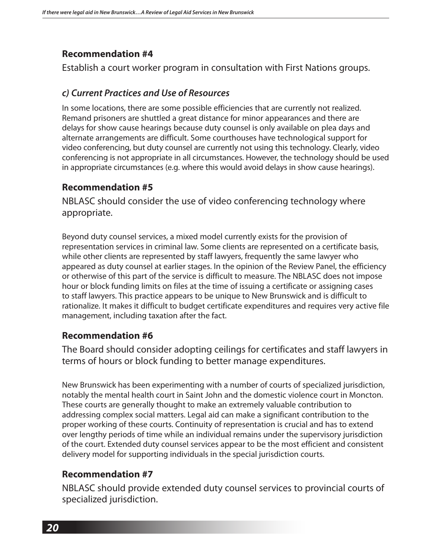Establish a court worker program in consultation with First Nations groups.

### *c) Current Practices and Use of Resources*

In some locations, there are some possible efficiencies that are currently not realized. Remand prisoners are shuttled a great distance for minor appearances and there are delays for show cause hearings because duty counsel is only available on plea days and alternate arrangements are difficult. Some courthouses have technological support for video conferencing, but duty counsel are currently not using this technology. Clearly, video conferencing is not appropriate in all circumstances. However, the technology should be used in appropriate circumstances (e.g. where this would avoid delays in show cause hearings).

### **Recommendation #5**

NBLASC should consider the use of video conferencing technology where appropriate.

Beyond duty counsel services, a mixed model currently exists for the provision of representation services in criminal law. Some clients are represented on a certificate basis, while other clients are represented by staff lawyers, frequently the same lawyer who appeared as duty counsel at earlier stages. In the opinion of the Review Panel, the efficiency or otherwise of this part of the service is difficult to measure. The NBLASC does not impose hour or block funding limits on files at the time of issuing a certificate or assigning cases to staff lawyers. This practice appears to be unique to New Brunswick and is difficult to rationalize. It makes it difficult to budget certificate expenditures and requires very active file management, including taxation after the fact.

### **Recommendation #6**

The Board should consider adopting ceilings for certificates and staff lawyers in terms of hours or block funding to better manage expenditures.

New Brunswick has been experimenting with a number of courts of specialized jurisdiction, notably the mental health court in Saint John and the domestic violence court in Moncton. These courts are generally thought to make an extremely valuable contribution to addressing complex social matters. Legal aid can make a significant contribution to the proper working of these courts. Continuity of representation is crucial and has to extend over lengthy periods of time while an individual remains under the supervisory jurisdiction of the court. Extended duty counsel services appear to be the most efficient and consistent delivery model for supporting individuals in the special jurisdiction courts.

### **Recommendation #7**

NBLASC should provide extended duty counsel services to provincial courts of specialized jurisdiction.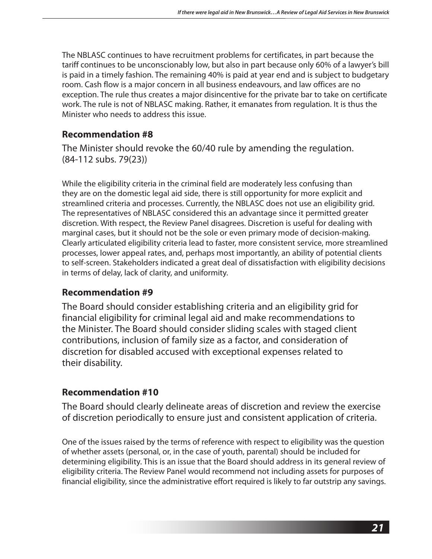The NBLASC continues to have recruitment problems for certificates, in part because the tariff continues to be unconscionably low, but also in part because only 60% of a lawyer's bill is paid in a timely fashion. The remaining 40% is paid at year end and is subject to budgetary room. Cash flow is a major concern in all business endeavours, and law offices are no exception. The rule thus creates a major disincentive for the private bar to take on certificate work. The rule is not of NBLASC making. Rather, it emanates from regulation. It is thus the Minister who needs to address this issue.

### **Recommendation #8**

The Minister should revoke the 60/40 rule by amending the regulation. (84-112 subs. 79(23))

While the eligibility criteria in the criminal field are moderately less confusing than they are on the domestic legal aid side, there is still opportunity for more explicit and streamlined criteria and processes. Currently, the NBLASC does not use an eligibility grid. The representatives of NBLASC considered this an advantage since it permitted greater discretion. With respect, the Review Panel disagrees. Discretion is useful for dealing with marginal cases, but it should not be the sole or even primary mode of decision-making. Clearly articulated eligibility criteria lead to faster, more consistent service, more streamlined processes, lower appeal rates, and, perhaps most importantly, an ability of potential clients to self-screen. Stakeholders indicated a great deal of dissatisfaction with eligibility decisions in terms of delay, lack of clarity, and uniformity.

### **Recommendation #9**

The Board should consider establishing criteria and an eligibility grid for financial eligibility for criminal legal aid and make recommendations to the Minister. The Board should consider sliding scales with staged client contributions, inclusion of family size as a factor, and consideration of discretion for disabled accused with exceptional expenses related to their disability.

### **Recommendation #10**

The Board should clearly delineate areas of discretion and review the exercise of discretion periodically to ensure just and consistent application of criteria.

One of the issues raised by the terms of reference with respect to eligibility was the question of whether assets (personal, or, in the case of youth, parental) should be included for determining eligibility. This is an issue that the Board should address in its general review of eligibility criteria. The Review Panel would recommend not including assets for purposes of financial eligibility, since the administrative effort required is likely to far outstrip any savings.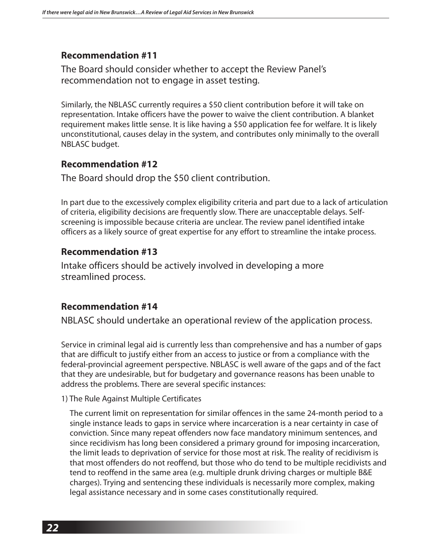The Board should consider whether to accept the Review Panel's recommendation not to engage in asset testing.

Similarly, the NBLASC currently requires a \$50 client contribution before it will take on representation. Intake officers have the power to waive the client contribution. A blanket requirement makes little sense. It is like having a \$50 application fee for welfare. It is likely unconstitutional, causes delay in the system, and contributes only minimally to the overall NBLASC budget.

#### **Recommendation #12**

The Board should drop the \$50 client contribution.

In part due to the excessively complex eligibility criteria and part due to a lack of articulation of criteria, eligibility decisions are frequently slow. There are unacceptable delays. Selfscreening is impossible because criteria are unclear. The review panel identified intake officers as a likely source of great expertise for any effort to streamline the intake process.

#### **Recommendation #13**

Intake officers should be actively involved in developing a more streamlined process.

#### **Recommendation #14**

NBLASC should undertake an operational review of the application process.

Service in criminal legal aid is currently less than comprehensive and has a number of gaps that are difficult to justify either from an access to justice or from a compliance with the federal-provincial agreement perspective. NBLASC is well aware of the gaps and of the fact that they are undesirable, but for budgetary and governance reasons has been unable to address the problems. There are several specific instances:

#### 1) The Rule Against Multiple Certificates

 The current limit on representation for similar offences in the same 24-month period to a single instance leads to gaps in service where incarceration is a near certainty in case of conviction. Since many repeat offenders now face mandatory minimum sentences, and since recidivism has long been considered a primary ground for imposing incarceration, the limit leads to deprivation of service for those most at risk. The reality of recidivism is that most offenders do not reoffend, but those who do tend to be multiple recidivists and tend to reoffend in the same area (e.g. multiple drunk driving charges or multiple B&E charges). Trying and sentencing these individuals is necessarily more complex, making legal assistance necessary and in some cases constitutionally required.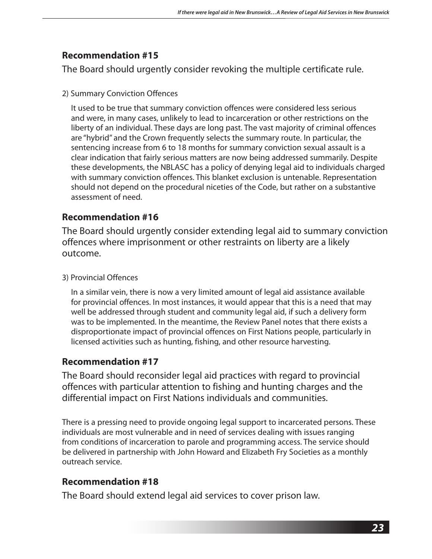The Board should urgently consider revoking the multiple certificate rule.

#### 2) Summary Conviction Offences

 It used to be true that summary conviction offences were considered less serious and were, in many cases, unlikely to lead to incarceration or other restrictions on the liberty of an individual. These days are long past. The vast majority of criminal offences are "hybrid" and the Crown frequently selects the summary route. In particular, the sentencing increase from 6 to 18 months for summary conviction sexual assault is a clear indication that fairly serious matters are now being addressed summarily. Despite these developments, the NBLASC has a policy of denying legal aid to individuals charged with summary conviction offences. This blanket exclusion is untenable. Representation should not depend on the procedural niceties of the Code, but rather on a substantive assessment of need.

### **Recommendation #16**

The Board should urgently consider extending legal aid to summary conviction offences where imprisonment or other restraints on liberty are a likely outcome.

3) Provincial Offences

 In a similar vein, there is now a very limited amount of legal aid assistance available for provincial offences. In most instances, it would appear that this is a need that may well be addressed through student and community legal aid, if such a delivery form was to be implemented. In the meantime, the Review Panel notes that there exists a disproportionate impact of provincial offences on First Nations people, particularly in licensed activities such as hunting, fishing, and other resource harvesting.

### **Recommendation #17**

The Board should reconsider legal aid practices with regard to provincial offences with particular attention to fishing and hunting charges and the differential impact on First Nations individuals and communities.

There is a pressing need to provide ongoing legal support to incarcerated persons. These individuals are most vulnerable and in need of services dealing with issues ranging from conditions of incarceration to parole and programming access. The service should be delivered in partnership with John Howard and Elizabeth Fry Societies as a monthly outreach service.

### **Recommendation #18**

The Board should extend legal aid services to cover prison law.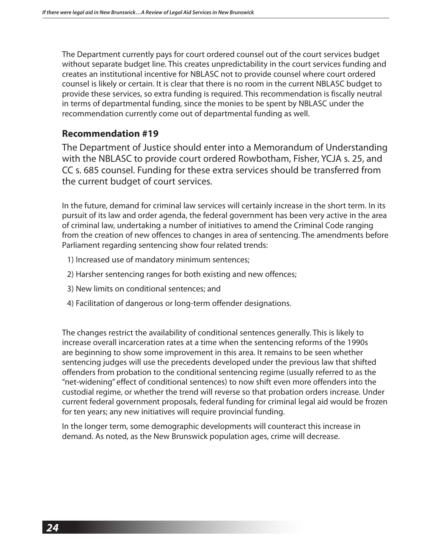The Department currently pays for court ordered counsel out of the court services budget without separate budget line. This creates unpredictability in the court services funding and creates an institutional incentive for NBLASC not to provide counsel where court ordered counsel is likely or certain. It is clear that there is no room in the current NBLASC budget to provide these services, so extra funding is required. This recommendation is fiscally neutral in terms of departmental funding, since the monies to be spent by NBLASC under the recommendation currently come out of departmental funding as well.

#### **Recommendation #19**

The Department of Justice should enter into a Memorandum of Understanding with the NBLASC to provide court ordered Rowbotham, Fisher, YCJA s. 25, and CC s. 685 counsel. Funding for these extra services should be transferred from the current budget of court services.

In the future, demand for criminal law services will certainly increase in the short term. In its pursuit of its law and order agenda, the federal government has been very active in the area of criminal law, undertaking a number of initiatives to amend the Criminal Code ranging from the creation of new offences to changes in area of sentencing. The amendments before Parliament regarding sentencing show four related trends:

- 1) Increased use of mandatory minimum sentences;
- 2) Harsher sentencing ranges for both existing and new offences;
- 3) New limits on conditional sentences; and
- 4) Facilitation of dangerous or long-term offender designations.

The changes restrict the availability of conditional sentences generally. This is likely to increase overall incarceration rates at a time when the sentencing reforms of the 1990s are beginning to show some improvement in this area. It remains to be seen whether sentencing judges will use the precedents developed under the previous law that shifted offenders from probation to the conditional sentencing regime (usually referred to as the "net-widening" effect of conditional sentences) to now shift even more offenders into the custodial regime, or whether the trend will reverse so that probation orders increase. Under current federal government proposals, federal funding for criminal legal aid would be frozen for ten years; any new initiatives will require provincial funding.

In the longer term, some demographic developments will counteract this increase in demand. As noted, as the New Brunswick population ages, crime will decrease.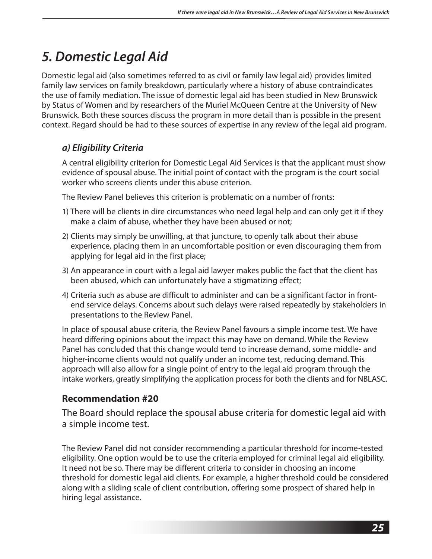## *5. Domestic Legal Aid*

Domestic legal aid (also sometimes referred to as civil or family law legal aid) provides limited family law services on family breakdown, particularly where a history of abuse contraindicates the use of family mediation. The issue of domestic legal aid has been studied in New Brunswick by Status of Women and by researchers of the Muriel McQueen Centre at the University of New Brunswick. Both these sources discuss the program in more detail than is possible in the present context. Regard should be had to these sources of expertise in any review of the legal aid program.

### *a) Eligibility Criteria*

A central eligibility criterion for Domestic Legal Aid Services is that the applicant must show evidence of spousal abuse. The initial point of contact with the program is the court social worker who screens clients under this abuse criterion.

The Review Panel believes this criterion is problematic on a number of fronts:

- 1) There will be clients in dire circumstances who need legal help and can only get it if they make a claim of abuse, whether they have been abused or not;
- 2) Clients may simply be unwilling, at that juncture, to openly talk about their abuse experience, placing them in an uncomfortable position or even discouraging them from applying for legal aid in the first place;
- 3) An appearance in court with a legal aid lawyer makes public the fact that the client has been abused, which can unfortunately have a stigmatizing effect;
- 4) Criteria such as abuse are difficult to administer and can be a significant factor in frontend service delays. Concerns about such delays were raised repeatedly by stakeholders in presentations to the Review Panel.

In place of spousal abuse criteria, the Review Panel favours a simple income test. We have heard differing opinions about the impact this may have on demand. While the Review Panel has concluded that this change would tend to increase demand, some middle- and higher-income clients would not qualify under an income test, reducing demand. This approach will also allow for a single point of entry to the legal aid program through the intake workers, greatly simplifying the application process for both the clients and for NBLASC.

### **Recommendation #20**

The Board should replace the spousal abuse criteria for domestic legal aid with a simple income test.

The Review Panel did not consider recommending a particular threshold for income-tested eligibility. One option would be to use the criteria employed for criminal legal aid eligibility. It need not be so. There may be different criteria to consider in choosing an income threshold for domestic legal aid clients. For example, a higher threshold could be considered along with a sliding scale of client contribution, offering some prospect of shared help in hiring legal assistance.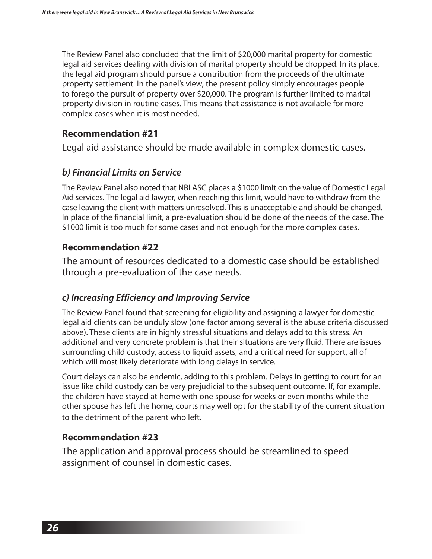The Review Panel also concluded that the limit of \$20,000 marital property for domestic legal aid services dealing with division of marital property should be dropped. In its place, the legal aid program should pursue a contribution from the proceeds of the ultimate property settlement. In the panel's view, the present policy simply encourages people to forego the pursuit of property over \$20,000. The program is further limited to marital property division in routine cases. This means that assistance is not available for more complex cases when it is most needed.

### **Recommendation #21**

Legal aid assistance should be made available in complex domestic cases.

### *b) Financial Limits on Service*

The Review Panel also noted that NBLASC places a \$1000 limit on the value of Domestic Legal Aid services. The legal aid lawyer, when reaching this limit, would have to withdraw from the case leaving the client with matters unresolved. This is unacceptable and should be changed. In place of the financial limit, a pre-evaluation should be done of the needs of the case. The \$1000 limit is too much for some cases and not enough for the more complex cases.

### **Recommendation #22**

The amount of resources dedicated to a domestic case should be established through a pre-evaluation of the case needs.

### *c) Increasing Efficiency and Improving Service*

The Review Panel found that screening for eligibility and assigning a lawyer for domestic legal aid clients can be unduly slow (one factor among several is the abuse criteria discussed above). These clients are in highly stressful situations and delays add to this stress. An additional and very concrete problem is that their situations are very fluid. There are issues surrounding child custody, access to liquid assets, and a critical need for support, all of which will most likely deteriorate with long delays in service.

Court delays can also be endemic, adding to this problem. Delays in getting to court for an issue like child custody can be very prejudicial to the subsequent outcome. If, for example, the children have stayed at home with one spouse for weeks or even months while the other spouse has left the home, courts may well opt for the stability of the current situation to the detriment of the parent who left.

### **Recommendation #23**

The application and approval process should be streamlined to speed assignment of counsel in domestic cases.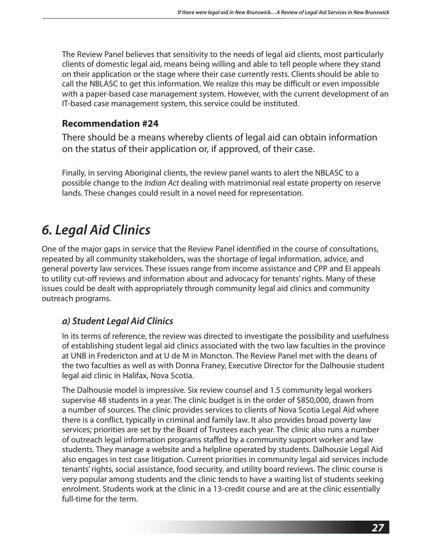The Review Panel believes that sensitivity to the needs of legal aid clients, most particularly clients of domestic legal aid, means being willing and able to tell people where they stand on their application or the stage where their case currently rests. Clients should be able to call the NBLASC to get this information. We realize this may be difficult or even impossible with a paper-based case management system. However, with the current development of an IT-based case management system, this service could be instituted.

### **Recommendation #24**

There should be a means whereby clients of legal aid can obtain information on the status of their application or, if approved, of their case.

Finally, in serving Aboriginal clients, the review panel wants to alert the NBLASC to a possible change to the *Indian Act* dealing with matrimonial real estate property on reserve lands. These changes could result in a novel need for representation.

## *6. Legal Aid Clinics*

One of the major gaps in service that the Review Panel identified in the course of consultations, repeated by all community stakeholders, was the shortage of legal information, advice, and general poverty law services. These issues range from income assistance and CPP and EI appeals to utility cut-off reviews and information about and advocacy for tenants' rights. Many of these issues could be dealt with appropriately through community legal aid clinics and community outreach programs.

### *a) Student Legal Aid Clinics*

In its terms of reference, the review was directed to investigate the possibility and usefulness of establishing student legal aid clinics associated with the two law faculties in the province at UNB in Fredericton and at U de M in Moncton. The Review Panel met with the deans of the two faculties as well as with Donna Franey, Executive Director for the Dalhousie student legal aid clinic in Halifax, Nova Scotia.

The Dalhousie model is impressive. Six review counsel and 1.5 community legal workers supervise 48 students in a year. The clinic budget is in the order of \$850,000, drawn from a number of sources. The clinic provides services to clients of Nova Scotia Legal Aid where there is a conflict, typically in criminal and family law. It also provides broad poverty law services; priorities are set by the Board of Trustees each year. The clinic also runs a number of outreach legal information programs staffed by a community support worker and law students. They manage a website and a helpline operated by students. Dalhousie Legal Aid also engages in test case litigation. Current priorities in community legal aid services include tenants' rights, social assistance, food security, and utility board reviews. The clinic course is very popular among students and the clinic tends to have a waiting list of students seeking enrolment. Students work at the clinic in a 13-credit course and are at the clinic essentially full-time for the term.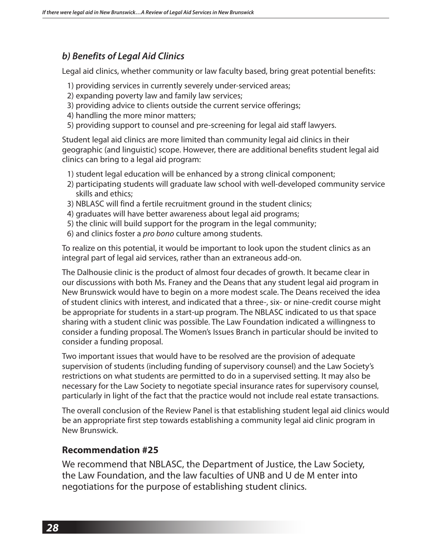### *b) Benefits of Legal Aid Clinics*

Legal aid clinics, whether community or law faculty based, bring great potential benefits:

- 1) providing services in currently severely under-serviced areas;
- 2) expanding poverty law and family law services;
- 3) providing advice to clients outside the current service offerings;
- 4) handling the more minor matters;
- 5) providing support to counsel and pre-screening for legal aid staff lawyers.

Student legal aid clinics are more limited than community legal aid clinics in their geographic (and linguistic) scope. However, there are additional benefits student legal aid clinics can bring to a legal aid program:

- 1) student legal education will be enhanced by a strong clinical component;
- 2) participating students will graduate law school with well-developed community service skills and ethics;
- 3) NBLASC will find a fertile recruitment ground in the student clinics;
- 4) graduates will have better awareness about legal aid programs;
- 5) the clinic will build support for the program in the legal community;
- 6) and clinics foster a *pro bono* culture among students.

To realize on this potential, it would be important to look upon the student clinics as an integral part of legal aid services, rather than an extraneous add-on.

The Dalhousie clinic is the product of almost four decades of growth. It became clear in our discussions with both Ms. Franey and the Deans that any student legal aid program in New Brunswick would have to begin on a more modest scale. The Deans received the idea of student clinics with interest, and indicated that a three-, six- or nine-credit course might be appropriate for students in a start-up program. The NBLASC indicated to us that space sharing with a student clinic was possible. The Law Foundation indicated a willingness to consider a funding proposal. The Women's Issues Branch in particular should be invited to consider a funding proposal.

Two important issues that would have to be resolved are the provision of adequate supervision of students (including funding of supervisory counsel) and the Law Society's restrictions on what students are permitted to do in a supervised setting. It may also be necessary for the Law Society to negotiate special insurance rates for supervisory counsel, particularly in light of the fact that the practice would not include real estate transactions.

The overall conclusion of the Review Panel is that establishing student legal aid clinics would be an appropriate first step towards establishing a community legal aid clinic program in New Brunswick.

#### **Recommendation #25**

We recommend that NBLASC, the Department of Justice, the Law Society, the Law Foundation, and the law faculties of UNB and U de M enter into negotiations for the purpose of establishing student clinics.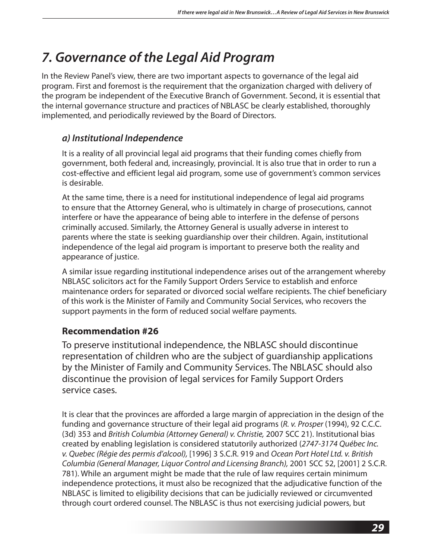## *7. Governance of the Legal Aid Program*

In the Review Panel's view, there are two important aspects to governance of the legal aid program. First and foremost is the requirement that the organization charged with delivery of the program be independent of the Executive Branch of Government. Second, it is essential that the internal governance structure and practices of NBLASC be clearly established, thoroughly implemented, and periodically reviewed by the Board of Directors.

### *a) Institutional Independence*

It is a reality of all provincial legal aid programs that their funding comes chiefly from government, both federal and, increasingly, provincial. It is also true that in order to run a cost-effective and efficient legal aid program, some use of government's common services is desirable.

At the same time, there is a need for institutional independence of legal aid programs to ensure that the Attorney General, who is ultimately in charge of prosecutions, cannot interfere or have the appearance of being able to interfere in the defense of persons criminally accused. Similarly, the Attorney General is usually adverse in interest to parents where the state is seeking guardianship over their children. Again, institutional independence of the legal aid program is important to preserve both the reality and appearance of justice.

A similar issue regarding institutional independence arises out of the arrangement whereby NBLASC solicitors act for the Family Support Orders Service to establish and enforce maintenance orders for separated or divorced social welfare recipients. The chief beneficiary of this work is the Minister of Family and Community Social Services, who recovers the support payments in the form of reduced social welfare payments.

### **Recommendation #26**

To preserve institutional independence, the NBLASC should discontinue representation of children who are the subject of guardianship applications by the Minister of Family and Community Services. The NBLASC should also discontinue the provision of legal services for Family Support Orders service cases.

It is clear that the provinces are afforded a large margin of appreciation in the design of the funding and governance structure of their legal aid programs (*R. v. Prosper* (1994), 92 C.C.C. (3d) 353 and *British Columbia (Attorney General) v. Christie,* 2007 SCC 21). Institutional bias created by enabling legislation is considered statutorily authorized (*2747-3174 Québec Inc. v. Quebec (Régie des permis d'alcool),* [1996] 3 S.C.R. 919 and *Ocean Port Hotel Ltd. v. British Columbia (General Manager, Liquor Control and Licensing Branch),* 2001 SCC 52, [2001] 2 S.C.R. 781). While an argument might be made that the rule of law requires certain minimum independence protections, it must also be recognized that the adjudicative function of the NBLASC is limited to eligibility decisions that can be judicially reviewed or circumvented through court ordered counsel. The NBLASC is thus not exercising judicial powers, but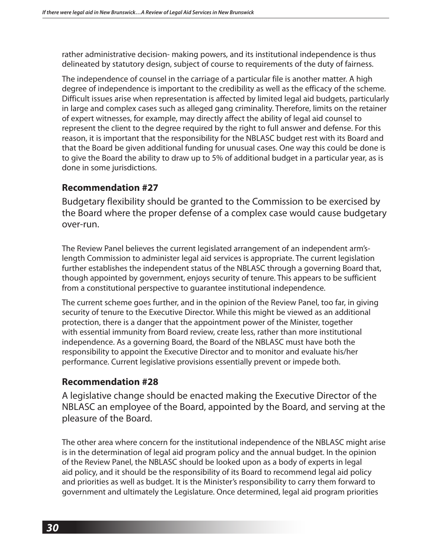rather administrative decision- making powers, and its institutional independence is thus delineated by statutory design, subject of course to requirements of the duty of fairness.

The independence of counsel in the carriage of a particular file is another matter. A high degree of independence is important to the credibility as well as the efficacy of the scheme. Difficult issues arise when representation is affected by limited legal aid budgets, particularly in large and complex cases such as alleged gang criminality. Therefore, limits on the retainer of expert witnesses, for example, may directly affect the ability of legal aid counsel to represent the client to the degree required by the right to full answer and defense. For this reason, it is important that the responsibility for the NBLASC budget rest with its Board and that the Board be given additional funding for unusual cases. One way this could be done is to give the Board the ability to draw up to 5% of additional budget in a particular year, as is done in some jurisdictions.

### **Recommendation #27**

Budgetary flexibility should be granted to the Commission to be exercised by the Board where the proper defense of a complex case would cause budgetary over-run.

The Review Panel believes the current legislated arrangement of an independent arm'slength Commission to administer legal aid services is appropriate. The current legislation further establishes the independent status of the NBLASC through a governing Board that, though appointed by government, enjoys security of tenure. This appears to be sufficient from a constitutional perspective to guarantee institutional independence.

The current scheme goes further, and in the opinion of the Review Panel, too far, in giving security of tenure to the Executive Director. While this might be viewed as an additional protection, there is a danger that the appointment power of the Minister, together with essential immunity from Board review, create less, rather than more institutional independence. As a governing Board, the Board of the NBLASC must have both the responsibility to appoint the Executive Director and to monitor and evaluate his/her performance. Current legislative provisions essentially prevent or impede both.

### **Recommendation #28**

A legislative change should be enacted making the Executive Director of the NBLASC an employee of the Board, appointed by the Board, and serving at the pleasure of the Board.

The other area where concern for the institutional independence of the NBLASC might arise is in the determination of legal aid program policy and the annual budget. In the opinion of the Review Panel, the NBLASC should be looked upon as a body of experts in legal aid policy, and it should be the responsibility of its Board to recommend legal aid policy and priorities as well as budget. It is the Minister's responsibility to carry them forward to government and ultimately the Legislature. Once determined, legal aid program priorities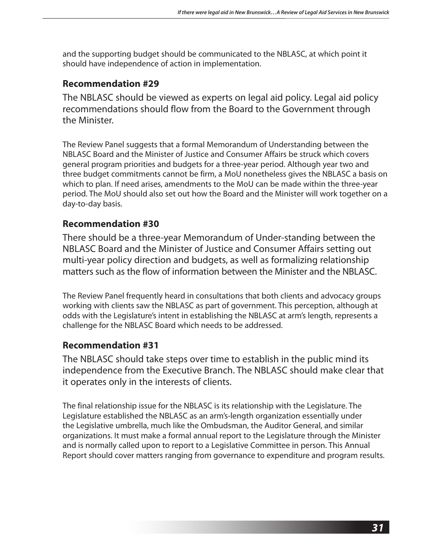and the supporting budget should be communicated to the NBLASC, at which point it should have independence of action in implementation.

### **Recommendation #29**

The NBLASC should be viewed as experts on legal aid policy. Legal aid policy recommendations should flow from the Board to the Government through the Minister.

The Review Panel suggests that a formal Memorandum of Understanding between the NBLASC Board and the Minister of Justice and Consumer Affairs be struck which covers general program priorities and budgets for a three-year period. Although year two and three budget commitments cannot be firm, a MoU nonetheless gives the NBLASC a basis on which to plan. If need arises, amendments to the MoU can be made within the three-year period. The MoU should also set out how the Board and the Minister will work together on a day-to-day basis.

### **Recommendation #30**

There should be a three-year Memorandum of Under-standing between the NBLASC Board and the Minister of Justice and Consumer Affairs setting out multi-year policy direction and budgets, as well as formalizing relationship matters such as the flow of information between the Minister and the NBLASC.

The Review Panel frequently heard in consultations that both clients and advocacy groups working with clients saw the NBLASC as part of government. This perception, although at odds with the Legislature's intent in establishing the NBLASC at arm's length, represents a challenge for the NBLASC Board which needs to be addressed.

### **Recommendation #31**

The NBLASC should take steps over time to establish in the public mind its independence from the Executive Branch. The NBLASC should make clear that it operates only in the interests of clients.

The final relationship issue for the NBLASC is its relationship with the Legislature. The Legislature established the NBLASC as an arm's-length organization essentially under the Legislative umbrella, much like the Ombudsman, the Auditor General, and similar organizations. It must make a formal annual report to the Legislature through the Minister and is normally called upon to report to a Legislative Committee in person. This Annual Report should cover matters ranging from governance to expenditure and program results.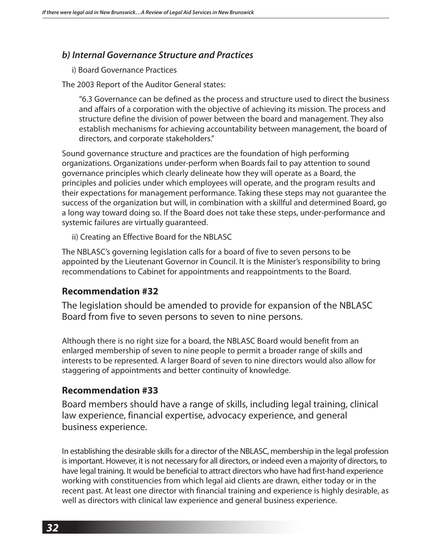#### *b) Internal Governance Structure and Practices*

i) Board Governance Practices

The 2003 Report of the Auditor General states:

 "6.3 Governance can be defined as the process and structure used to direct the business and affairs of a corporation with the objective of achieving its mission. The process and structure define the division of power between the board and management. They also establish mechanisms for achieving accountability between management, the board of directors, and corporate stakeholders."

Sound governance structure and practices are the foundation of high performing organizations. Organizations under-perform when Boards fail to pay attention to sound governance principles which clearly delineate how they will operate as a Board, the principles and policies under which employees will operate, and the program results and their expectations for management performance. Taking these steps may not guarantee the success of the organization but will, in combination with a skillful and determined Board, go a long way toward doing so. If the Board does not take these steps, under-performance and systemic failures are virtually guaranteed.

ii) Creating an Effective Board for the NBLASC

The NBLASC's governing legislation calls for a board of five to seven persons to be appointed by the Lieutenant Governor in Council. It is the Minister's responsibility to bring recommendations to Cabinet for appointments and reappointments to the Board.

#### **Recommendation #32**

The legislation should be amended to provide for expansion of the NBLASC Board from five to seven persons to seven to nine persons.

Although there is no right size for a board, the NBLASC Board would benefit from an enlarged membership of seven to nine people to permit a broader range of skills and interests to be represented. A larger Board of seven to nine directors would also allow for staggering of appointments and better continuity of knowledge.

#### **Recommendation #33**

Board members should have a range of skills, including legal training, clinical law experience, financial expertise, advocacy experience, and general business experience.

In establishing the desirable skills for a director of the NBLASC, membership in the legal profession is important. However, it is not necessary for all directors, or indeed even a majority of directors, to have legal training. It would be beneficial to attract directors who have had first-hand experience working with constituencies from which legal aid clients are drawn, either today or in the recent past. At least one director with financial training and experience is highly desirable, as well as directors with clinical law experience and general business experience.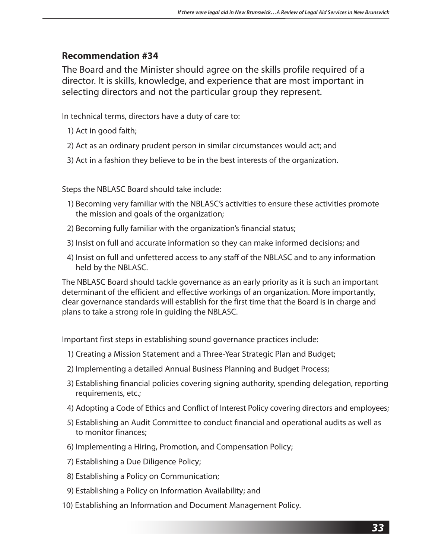The Board and the Minister should agree on the skills profile required of a director. It is skills, knowledge, and experience that are most important in selecting directors and not the particular group they represent.

In technical terms, directors have a duty of care to:

- 1) Act in good faith;
- 2) Act as an ordinary prudent person in similar circumstances would act; and
- 3) Act in a fashion they believe to be in the best interests of the organization.

Steps the NBLASC Board should take include:

- 1) Becoming very familiar with the NBLASC's activities to ensure these activities promote the mission and goals of the organization;
- 2) Becoming fully familiar with the organization's financial status;
- 3) Insist on full and accurate information so they can make informed decisions; and
- 4) Insist on full and unfettered access to any staff of the NBLASC and to any information held by the NBLASC.

The NBLASC Board should tackle governance as an early priority as it is such an important determinant of the efficient and effective workings of an organization. More importantly, clear governance standards will establish for the first time that the Board is in charge and plans to take a strong role in guiding the NBLASC.

Important first steps in establishing sound governance practices include:

- 1) Creating a Mission Statement and a Three-Year Strategic Plan and Budget;
- 2) Implementing a detailed Annual Business Planning and Budget Process;
- 3) Establishing financial policies covering signing authority, spending delegation, reporting requirements, etc.;
- 4) Adopting a Code of Ethics and Conflict of Interest Policy covering directors and employees;
- 5) Establishing an Audit Committee to conduct financial and operational audits as well as to monitor finances;
- 6) Implementing a Hiring, Promotion, and Compensation Policy;
- 7) Establishing a Due Diligence Policy;
- 8) Establishing a Policy on Communication;
- 9) Establishing a Policy on Information Availability; and
- 10) Establishing an Information and Document Management Policy.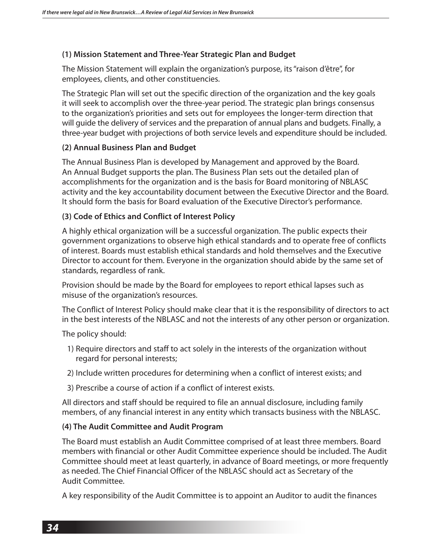#### **(1) Mission Statement and Three-Year Strategic Plan and Budget**

The Mission Statement will explain the organization's purpose, its "raison d'être", for employees, clients, and other constituencies.

The Strategic Plan will set out the specific direction of the organization and the key goals it will seek to accomplish over the three-year period. The strategic plan brings consensus to the organization's priorities and sets out for employees the longer-term direction that will guide the delivery of services and the preparation of annual plans and budgets. Finally, a three-year budget with projections of both service levels and expenditure should be included.

#### **(2) Annual Business Plan and Budget**

The Annual Business Plan is developed by Management and approved by the Board. An Annual Budget supports the plan. The Business Plan sets out the detailed plan of accomplishments for the organization and is the basis for Board monitoring of NBLASC activity and the key accountability document between the Executive Director and the Board. It should form the basis for Board evaluation of the Executive Director's performance.

#### **(3) Code of Ethics and Conflict of Interest Policy**

A highly ethical organization will be a successful organization. The public expects their government organizations to observe high ethical standards and to operate free of conflicts of interest. Boards must establish ethical standards and hold themselves and the Executive Director to account for them. Everyone in the organization should abide by the same set of standards, regardless of rank.

Provision should be made by the Board for employees to report ethical lapses such as misuse of the organization's resources.

The Conflict of Interest Policy should make clear that it is the responsibility of directors to act in the best interests of the NBLASC and not the interests of any other person or organization.

The policy should:

- 1) Require directors and staff to act solely in the interests of the organization without regard for personal interests;
- 2) Include written procedures for determining when a conflict of interest exists; and
- 3) Prescribe a course of action if a conflict of interest exists.

All directors and staff should be required to file an annual disclosure, including family members, of any financial interest in any entity which transacts business with the NBLASC.

#### **(4) The Audit Committee and Audit Program**

The Board must establish an Audit Committee comprised of at least three members. Board members with financial or other Audit Committee experience should be included. The Audit Committee should meet at least quarterly, in advance of Board meetings, or more frequently as needed. The Chief Financial Officer of the NBLASC should act as Secretary of the Audit Committee.

A key responsibility of the Audit Committee is to appoint an Auditor to audit the finances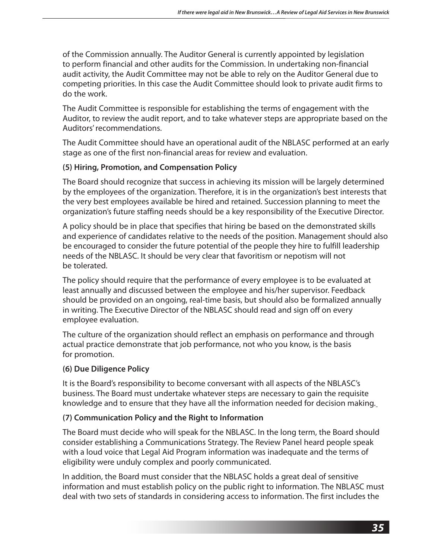of the Commission annually. The Auditor General is currently appointed by legislation to perform financial and other audits for the Commission. In undertaking non-financial audit activity, the Audit Committee may not be able to rely on the Auditor General due to competing priorities. In this case the Audit Committee should look to private audit firms to do the work.

The Audit Committee is responsible for establishing the terms of engagement with the Auditor, to review the audit report, and to take whatever steps are appropriate based on the Auditors' recommendations.

The Audit Committee should have an operational audit of the NBLASC performed at an early stage as one of the first non-financial areas for review and evaluation.

### **(5) Hiring, Promotion, and Compensation Policy**

The Board should recognize that success in achieving its mission will be largely determined by the employees of the organization. Therefore, it is in the organization's best interests that the very best employees available be hired and retained. Succession planning to meet the organization's future staffing needs should be a key responsibility of the Executive Director.

A policy should be in place that specifies that hiring be based on the demonstrated skills and experience of candidates relative to the needs of the position. Management should also be encouraged to consider the future potential of the people they hire to fulfill leadership needs of the NBLASC. It should be very clear that favoritism or nepotism will not be tolerated.

The policy should require that the performance of every employee is to be evaluated at least annually and discussed between the employee and his/her supervisor. Feedback should be provided on an ongoing, real-time basis, but should also be formalized annually in writing. The Executive Director of the NBLASC should read and sign off on every employee evaluation.

The culture of the organization should reflect an emphasis on performance and through actual practice demonstrate that job performance, not who you know, is the basis for promotion.

#### **(6) Due Diligence Policy**

It is the Board's responsibility to become conversant with all aspects of the NBLASC's business. The Board must undertake whatever steps are necessary to gain the requisite knowledge and to ensure that they have all the information needed for decision making.

#### **(7) Communication Policy and the Right to Information**

The Board must decide who will speak for the NBLASC. In the long term, the Board should consider establishing a Communications Strategy. The Review Panel heard people speak with a loud voice that Legal Aid Program information was inadequate and the terms of eligibility were unduly complex and poorly communicated.

In addition, the Board must consider that the NBLASC holds a great deal of sensitive information and must establish policy on the public right to information. The NBLASC must deal with two sets of standards in considering access to information. The first includes the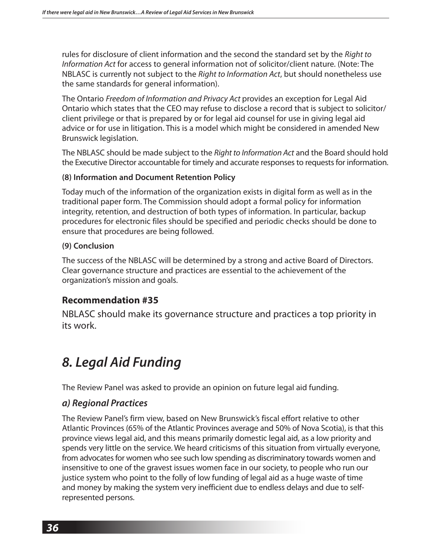rules for disclosure of client information and the second the standard set by the *Right to Information Act* for access to general information not of solicitor/client nature. (Note: The NBLASC is currently not subject to the *Right to Information Act*, but should nonetheless use the same standards for general information).

The Ontario *Freedom of Information and Privacy Act* provides an exception for Legal Aid Ontario which states that the CEO may refuse to disclose a record that is subject to solicitor/ client privilege or that is prepared by or for legal aid counsel for use in giving legal aid advice or for use in litigation. This is a model which might be considered in amended New Brunswick legislation.

The NBLASC should be made subject to the *Right to Information Act* and the Board should hold the Executive Director accountable for timely and accurate responses to requests for information.

#### **(8) Information and Document Retention Policy**

Today much of the information of the organization exists in digital form as well as in the traditional paper form. The Commission should adopt a formal policy for information integrity, retention, and destruction of both types of information. In particular, backup procedures for electronic files should be specified and periodic checks should be done to ensure that procedures are being followed.

#### **(9) Conclusion**

The success of the NBLASC will be determined by a strong and active Board of Directors. Clear governance structure and practices are essential to the achievement of the organization's mission and goals.

### **Recommendation #35**

NBLASC should make its governance structure and practices a top priority in its work.

## *8. Legal Aid Funding*

The Review Panel was asked to provide an opinion on future legal aid funding.

### *a) Regional Practices*

The Review Panel's firm view, based on New Brunswick's fiscal effort relative to other Atlantic Provinces (65% of the Atlantic Provinces average and 50% of Nova Scotia), is that this province views legal aid, and this means primarily domestic legal aid, as a low priority and spends very little on the service. We heard criticisms of this situation from virtually everyone, from advocates for women who see such low spending as discriminatory towards women and insensitive to one of the gravest issues women face in our society, to people who run our justice system who point to the folly of low funding of legal aid as a huge waste of time and money by making the system very inefficient due to endless delays and due to selfrepresented persons.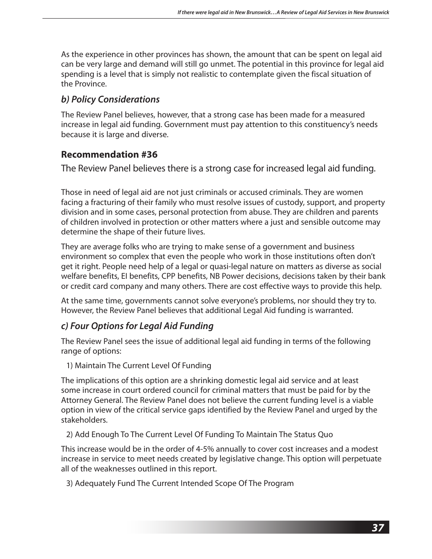As the experience in other provinces has shown, the amount that can be spent on legal aid can be very large and demand will still go unmet. The potential in this province for legal aid spending is a level that is simply not realistic to contemplate given the fiscal situation of the Province.

### *b) Policy Considerations*

The Review Panel believes, however, that a strong case has been made for a measured increase in legal aid funding. Government must pay attention to this constituency's needs because it is large and diverse.

### **Recommendation #36**

The Review Panel believes there is a strong case for increased legal aid funding.

Those in need of legal aid are not just criminals or accused criminals. They are women facing a fracturing of their family who must resolve issues of custody, support, and property division and in some cases, personal protection from abuse. They are children and parents of children involved in protection or other matters where a just and sensible outcome may determine the shape of their future lives.

They are average folks who are trying to make sense of a government and business environment so complex that even the people who work in those institutions often don't get it right. People need help of a legal or quasi-legal nature on matters as diverse as social welfare benefits, EI benefits, CPP benefits, NB Power decisions, decisions taken by their bank or credit card company and many others. There are cost effective ways to provide this help.

At the same time, governments cannot solve everyone's problems, nor should they try to. However, the Review Panel believes that additional Legal Aid funding is warranted.

### *c) Four Options for Legal Aid Funding*

The Review Panel sees the issue of additional legal aid funding in terms of the following range of options:

1) Maintain The Current Level Of Funding

The implications of this option are a shrinking domestic legal aid service and at least some increase in court ordered council for criminal matters that must be paid for by the Attorney General. The Review Panel does not believe the current funding level is a viable option in view of the critical service gaps identified by the Review Panel and urged by the stakeholders.

2) Add Enough To The Current Level Of Funding To Maintain The Status Quo

This increase would be in the order of 4-5% annually to cover cost increases and a modest increase in service to meet needs created by legislative change. This option will perpetuate all of the weaknesses outlined in this report.

3) Adequately Fund The Current Intended Scope Of The Program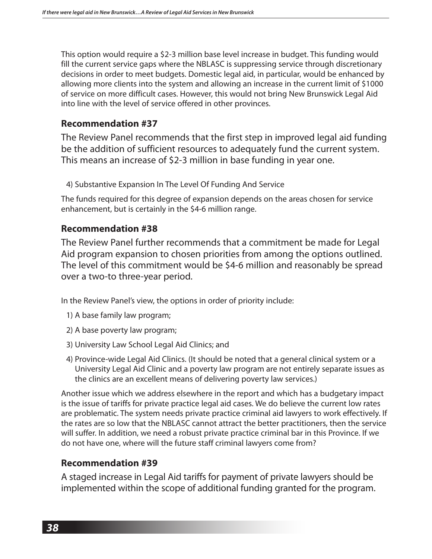This option would require a \$2-3 million base level increase in budget. This funding would fill the current service gaps where the NBLASC is suppressing service through discretionary decisions in order to meet budgets. Domestic legal aid, in particular, would be enhanced by allowing more clients into the system and allowing an increase in the current limit of \$1000 of service on more difficult cases. However, this would not bring New Brunswick Legal Aid into line with the level of service offered in other provinces.

### **Recommendation #37**

The Review Panel recommends that the first step in improved legal aid funding be the addition of sufficient resources to adequately fund the current system. This means an increase of \$2-3 million in base funding in year one.

4) Substantive Expansion In The Level Of Funding And Service

The funds required for this degree of expansion depends on the areas chosen for service enhancement, but is certainly in the \$4-6 million range.

### **Recommendation #38**

The Review Panel further recommends that a commitment be made for Legal Aid program expansion to chosen priorities from among the options outlined. The level of this commitment would be \$4-6 million and reasonably be spread over a two-to three-year period.

In the Review Panel's view, the options in order of priority include:

- 1) A base family law program;
- 2) A base poverty law program;
- 3) University Law School Legal Aid Clinics; and
- 4) Province-wide Legal Aid Clinics. (It should be noted that a general clinical system or a University Legal Aid Clinic and a poverty law program are not entirely separate issues as the clinics are an excellent means of delivering poverty law services.)

Another issue which we address elsewhere in the report and which has a budgetary impact is the issue of tariffs for private practice legal aid cases. We do believe the current low rates are problematic. The system needs private practice criminal aid lawyers to work effectively. If the rates are so low that the NBLASC cannot attract the better practitioners, then the service will suffer. In addition, we need a robust private practice criminal bar in this Province. If we do not have one, where will the future staff criminal lawyers come from?

### **Recommendation #39**

A staged increase in Legal Aid tariffs for payment of private lawyers should be implemented within the scope of additional funding granted for the program.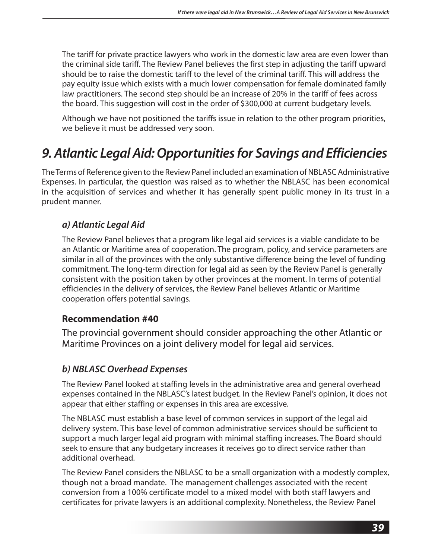The tariff for private practice lawyers who work in the domestic law area are even lower than the criminal side tariff. The Review Panel believes the first step in adjusting the tariff upward should be to raise the domestic tariff to the level of the criminal tariff. This will address the pay equity issue which exists with a much lower compensation for female dominated family law practitioners. The second step should be an increase of 20% in the tariff of fees across the board. This suggestion will cost in the order of \$300,000 at current budgetary levels.

Although we have not positioned the tariffs issue in relation to the other program priorities, we believe it must be addressed very soon.

## *9. Atlantic Legal Aid: Opportunities for Savings and Efficiencies*

The Terms of Reference given to the Review Panel included an examination of NBLASC Administrative Expenses. In particular, the question was raised as to whether the NBLASC has been economical in the acquisition of services and whether it has generally spent public money in its trust in a prudent manner.

### *a) Atlantic Legal Aid*

The Review Panel believes that a program like legal aid services is a viable candidate to be an Atlantic or Maritime area of cooperation. The program, policy, and service parameters are similar in all of the provinces with the only substantive difference being the level of funding commitment. The long-term direction for legal aid as seen by the Review Panel is generally consistent with the position taken by other provinces at the moment. In terms of potential efficiencies in the delivery of services, the Review Panel believes Atlantic or Maritime cooperation offers potential savings.

### **Recommendation #40**

The provincial government should consider approaching the other Atlantic or Maritime Provinces on a joint delivery model for legal aid services.

### *b) NBLASC Overhead Expenses*

The Review Panel looked at staffing levels in the administrative area and general overhead expenses contained in the NBLASC's latest budget. In the Review Panel's opinion, it does not appear that either staffing or expenses in this area are excessive.

The NBLASC must establish a base level of common services in support of the legal aid delivery system. This base level of common administrative services should be sufficient to support a much larger legal aid program with minimal staffing increases. The Board should seek to ensure that any budgetary increases it receives go to direct service rather than additional overhead.

The Review Panel considers the NBLASC to be a small organization with a modestly complex, though not a broad mandate. The management challenges associated with the recent conversion from a 100% certificate model to a mixed model with both staff lawyers and certificates for private lawyers is an additional complexity. Nonetheless, the Review Panel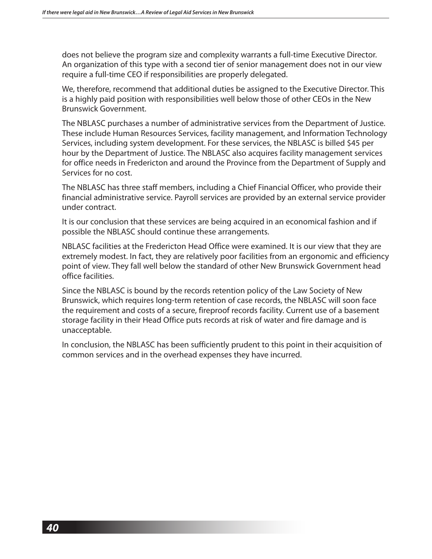does not believe the program size and complexity warrants a full-time Executive Director. An organization of this type with a second tier of senior management does not in our view require a full-time CEO if responsibilities are properly delegated.

We, therefore, recommend that additional duties be assigned to the Executive Director. This is a highly paid position with responsibilities well below those of other CEOs in the New Brunswick Government.

The NBLASC purchases a number of administrative services from the Department of Justice. These include Human Resources Services, facility management, and Information Technology Services, including system development. For these services, the NBLASC is billed \$45 per hour by the Department of Justice. The NBLASC also acquires facility management services for office needs in Fredericton and around the Province from the Department of Supply and Services for no cost.

The NBLASC has three staff members, including a Chief Financial Officer, who provide their financial administrative service. Payroll services are provided by an external service provider under contract.

It is our conclusion that these services are being acquired in an economical fashion and if possible the NBLASC should continue these arrangements.

NBLASC facilities at the Fredericton Head Office were examined. It is our view that they are extremely modest. In fact, they are relatively poor facilities from an ergonomic and efficiency point of view. They fall well below the standard of other New Brunswick Government head office facilities.

Since the NBLASC is bound by the records retention policy of the Law Society of New Brunswick, which requires long-term retention of case records, the NBLASC will soon face the requirement and costs of a secure, fireproof records facility. Current use of a basement storage facility in their Head Office puts records at risk of water and fire damage and is unacceptable.

In conclusion, the NBLASC has been sufficiently prudent to this point in their acquisition of common services and in the overhead expenses they have incurred.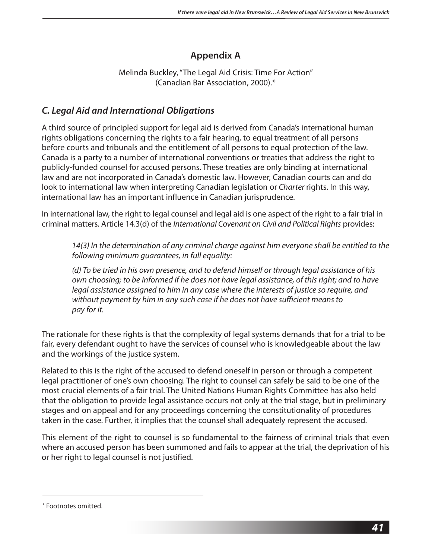### **Appendix A**

Melinda Buckley, "The Legal Aid Crisis: Time For Action" (Canadian Bar Association, 2000).\*

### *C. Legal Aid and International Obligations*

A third source of principled support for legal aid is derived from Canada's international human rights obligations concerning the rights to a fair hearing, to equal treatment of all persons before courts and tribunals and the entitlement of all persons to equal protection of the law. Canada is a party to a number of international conventions or treaties that address the right to publicly-funded counsel for accused persons. These treaties are only binding at international law and are not incorporated in Canada's domestic law. However, Canadian courts can and do look to international law when interpreting Canadian legislation or *Charter* rights. In this way, international law has an important influence in Canadian jurisprudence.

In international law, the right to legal counsel and legal aid is one aspect of the right to a fair trial in criminal matters. Article 14.3(d) of the *International Covenant on Civil and Political Rights* provides:

 *14(3) In the determination of any criminal charge against him everyone shall be entitled to the following minimum guarantees, in full equality:*

 *(d) To be tried in his own presence, and to defend himself or through legal assistance of his own choosing; to be informed if he does not have legal assistance, of this right; and to have legal assistance assigned to him in any case where the interests of justice so require, and without payment by him in any such case if he does not have sufficient means to pay for it.*

The rationale for these rights is that the complexity of legal systems demands that for a trial to be fair, every defendant ought to have the services of counsel who is knowledgeable about the law and the workings of the justice system.

Related to this is the right of the accused to defend oneself in person or through a competent legal practitioner of one's own choosing. The right to counsel can safely be said to be one of the most crucial elements of a fair trial. The United Nations Human Rights Committee has also held that the obligation to provide legal assistance occurs not only at the trial stage, but in preliminary stages and on appeal and for any proceedings concerning the constitutionality of procedures taken in the case. Further, it implies that the counsel shall adequately represent the accused.

This element of the right to counsel is so fundamental to the fairness of criminal trials that even where an accused person has been summoned and fails to appear at the trial, the deprivation of his or her right to legal counsel is not justified.

**<sup>\*</sup>** Footnotes omitted.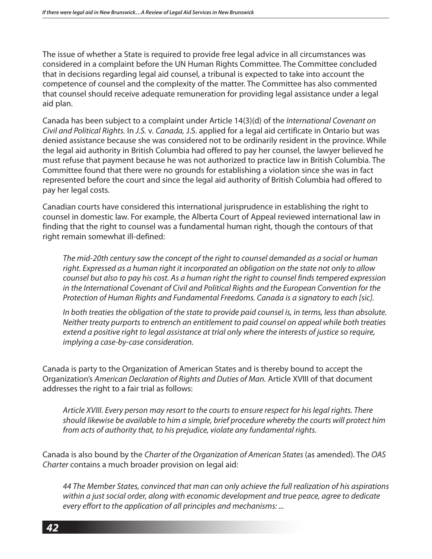The issue of whether a State is required to provide free legal advice in all circumstances was considered in a complaint before the UN Human Rights Committee. The Committee concluded that in decisions regarding legal aid counsel, a tribunal is expected to take into account the competence of counsel and the complexity of the matter. The Committee has also commented that counsel should receive adequate remuneration for providing legal assistance under a legal aid plan.

Canada has been subject to a complaint under Article 14(3)(d) of the *International Covenant on Civil and Political Rights.* In *J.S.* v. *Canada,* J.S. applied for a legal aid certificate in Ontario but was denied assistance because she was considered not to be ordinarily resident in the province. While the legal aid authority in British Columbia had offered to pay her counsel, the lawyer believed he must refuse that payment because he was not authorized to practice law in British Columbia. The Committee found that there were no grounds for establishing a violation since she was in fact represented before the court and since the legal aid authority of British Columbia had offered to pay her legal costs.

Canadian courts have considered this international jurisprudence in establishing the right to counsel in domestic law. For example, the Alberta Court of Appeal reviewed international law in finding that the right to counsel was a fundamental human right, though the contours of that right remain somewhat ill-defined:

*The mid-20th century saw the concept of the right to counsel demanded as a social or human right. Expressed as a human right it incorporated an obligation on the state not only to allow counsel but also to pay his cost. As a human right the right to counsel finds tempered expression in the International Covenant of Civil and Political Rights and the European Convention for the Protection of Human Rights and Fundamental Freedoms. Canada is a signatory to each [sic].* 

*In both treaties the obligation of the state to provide paid counsel is, in terms, less than absolute. Neither treaty purports to entrench an entitlement to paid counsel on appeal while both treaties extend a positive right to legal assistance at trial only where the interests of justice so require, implying a case-by-case consideration.*

Canada is party to the Organization of American States and is thereby bound to accept the Organization's *American Declaration of Rights and Duties of Man.* Article XVIII of that document addresses the right to a fair trial as follows:

*Article XVIII. Every person may resort to the courts to ensure respect for his legal rights. There should likewise be available to him a simple, brief procedure whereby the courts will protect him from acts of authority that, to his prejudice, violate any fundamental rights.*

Canada is also bound by the *Charter of the Organization of American States* (as amended). The *OAS Charter* contains a much broader provision on legal aid:

*44 The Member States, convinced that man can only achieve the full realization of his aspirations within a just social order, along with economic development and true peace, agree to dedicate every effort to the application of all principles and mechanisms: ...*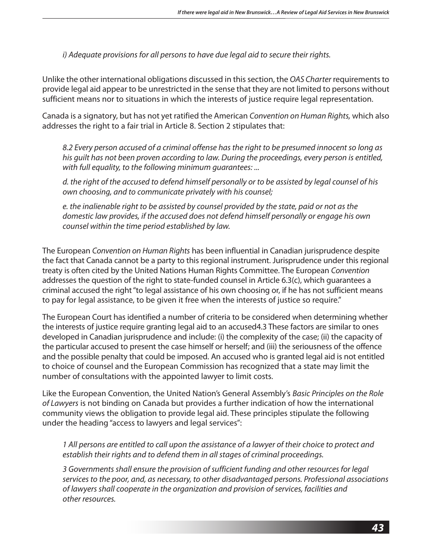*i) Adequate provisions for all persons to have due legal aid to secure their rights.*

Unlike the other international obligations discussed in this section, the *OAS Charter* requirements to provide legal aid appear to be unrestricted in the sense that they are not limited to persons without sufficient means nor to situations in which the interests of justice require legal representation.

Canada is a signatory, but has not yet ratified the American *Convention on Human Rights,* which also addresses the right to a fair trial in Article 8. Section 2 stipulates that:

*8.2 Every person accused of a criminal offense has the right to be presumed innocent so long as his guilt has not been proven according to law. During the proceedings, every person is entitled, with full equality, to the following minimum guarantees: ...*

*d. the right of the accused to defend himself personally or to be assisted by legal counsel of his own choosing, and to communicate privately with his counsel;*

*e. the inalienable right to be assisted by counsel provided by the state, paid or not as the domestic law provides, if the accused does not defend himself personally or engage his own counsel within the time period established by law.*

The European *Convention on Human Rights* has been influential in Canadian jurisprudence despite the fact that Canada cannot be a party to this regional instrument. Jurisprudence under this regional treaty is often cited by the United Nations Human Rights Committee. The European *Convention*  addresses the question of the right to state-funded counsel in Article 6.3(c), which guarantees a criminal accused the right "to legal assistance of his own choosing or, if he has not sufficient means to pay for legal assistance, to be given it free when the interests of justice so require."

The European Court has identified a number of criteria to be considered when determining whether the interests of justice require granting legal aid to an accused4.3 These factors are similar to ones developed in Canadian jurisprudence and include: (i) the complexity of the case; (ii) the capacity of the particular accused to present the case himself or herself; and (iii) the seriousness of the offence and the possible penalty that could be imposed. An accused who is granted legal aid is not entitled to choice of counsel and the European Commission has recognized that a state may limit the number of consultations with the appointed lawyer to limit costs.

Like the European Convention, the United Nation's General Assembly's *Basic Principles on the Role of Lawyers* is not binding on Canada but provides a further indication of how the international community views the obligation to provide legal aid. These principles stipulate the following under the heading "access to lawyers and legal services":

*1 All persons are entitled to call upon the assistance of a lawyer of their choice to protect and establish their rights and to defend them in all stages of criminal proceedings.*

*3 Governments shall ensure the provision of sufficient funding and other resources for legal services to the poor, and, as necessary, to other disadvantaged persons. Professional associations of lawyers shall cooperate in the organization and provision of services, facilities and other resources.*